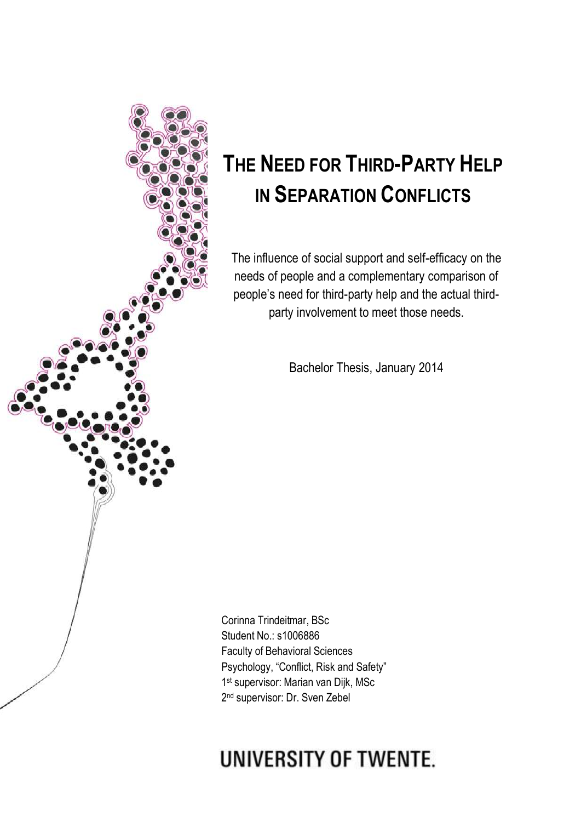

# **THE NEED FOR THIRD-PARTY HELP IN SEPARATION CONFLICTS**

The influence of social support and self-efficacy on the needs of people and a complementary comparison of people's need for third-party help and the actual thirdparty involvement to meet those needs.

Bachelor Thesis, January 2014

Corinna Trindeitmar, BSc Student No.: s1006886 Faculty of Behavioral Sciences Psychology, "Conflict, Risk and Safety" 1 st supervisor: Marian van Dijk, MSc 2<sup>nd</sup> supervisor: Dr. Sven Zebel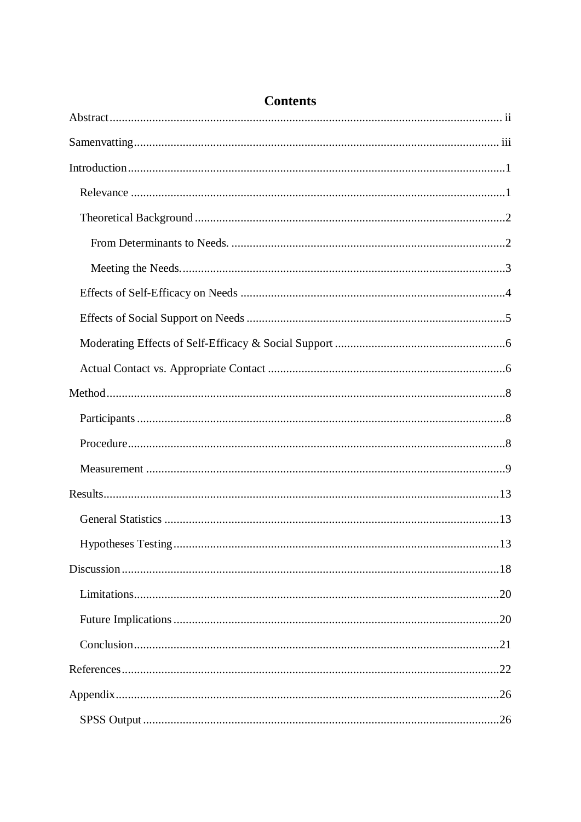## **Contents**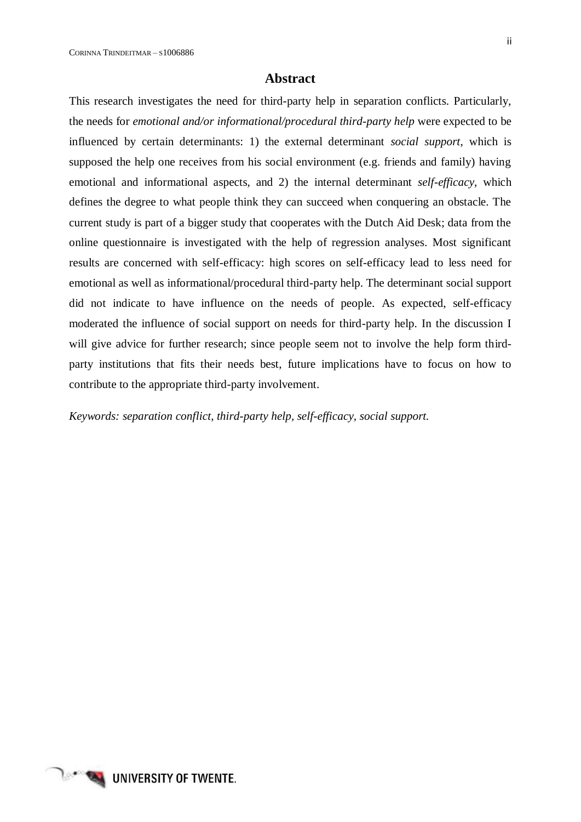## **Abstract**

<span id="page-3-0"></span>This research investigates the need for third-party help in separation conflicts. Particularly, the needs for *emotional and/or informational/procedural third-party help* were expected to be influenced by certain determinants: 1) the external determinant *social support*, which is supposed the help one receives from his social environment (e.g. friends and family) having emotional and informational aspects, and 2) the internal determinant *self-efficacy*, which defines the degree to what people think they can succeed when conquering an obstacle. The current study is part of a bigger study that cooperates with the Dutch Aid Desk; data from the online questionnaire is investigated with the help of regression analyses. Most significant results are concerned with self-efficacy: high scores on self-efficacy lead to less need for emotional as well as informational/procedural third-party help. The determinant social support did not indicate to have influence on the needs of people. As expected, self-efficacy moderated the influence of social support on needs for third-party help. In the discussion I will give advice for further research; since people seem not to involve the help form thirdparty institutions that fits their needs best, future implications have to focus on how to contribute to the appropriate third-party involvement.

*Keywords: separation conflict, third-party help, self-efficacy, social support.*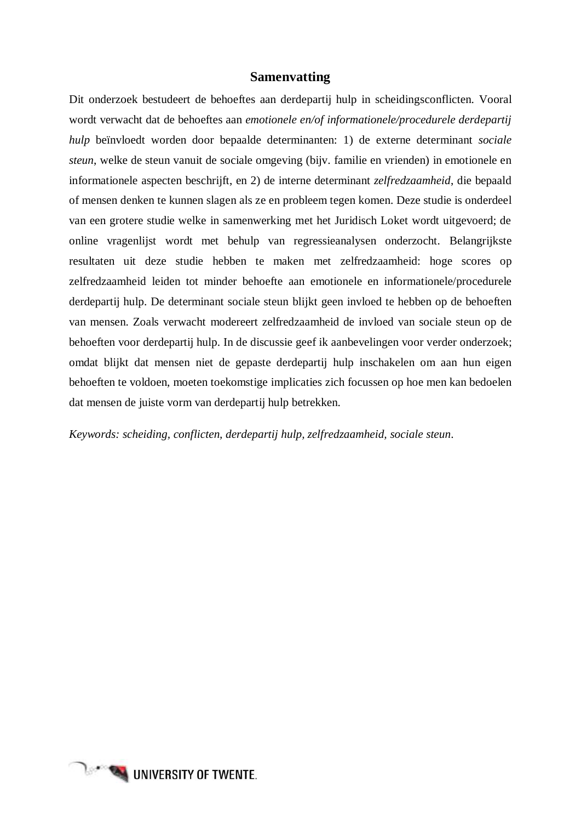## **Samenvatting**

<span id="page-4-0"></span>Dit onderzoek bestudeert de behoeftes aan derdepartij hulp in scheidingsconflicten. Vooral wordt verwacht dat de behoeftes aan *emotionele en/of informationele/procedurele derdepartij hulp* beïnvloedt worden door bepaalde determinanten: 1) de externe determinant *sociale steun*, welke de steun vanuit de sociale omgeving (bijv. familie en vrienden) in emotionele en informationele aspecten beschrijft, en 2) de interne determinant *zelfredzaamheid*, die bepaald of mensen denken te kunnen slagen als ze en probleem tegen komen. Deze studie is onderdeel van een grotere studie welke in samenwerking met het Juridisch Loket wordt uitgevoerd; de online vragenlijst wordt met behulp van regressieanalysen onderzocht. Belangrijkste resultaten uit deze studie hebben te maken met zelfredzaamheid: hoge scores op zelfredzaamheid leiden tot minder behoefte aan emotionele en informationele/procedurele derdepartij hulp. De determinant sociale steun blijkt geen invloed te hebben op de behoeften van mensen. Zoals verwacht modereert zelfredzaamheid de invloed van sociale steun op de behoeften voor derdepartij hulp. In de discussie geef ik aanbevelingen voor verder onderzoek; omdat blijkt dat mensen niet de gepaste derdepartij hulp inschakelen om aan hun eigen behoeften te voldoen, moeten toekomstige implicaties zich focussen op hoe men kan bedoelen dat mensen de juiste vorm van derdepartij hulp betrekken.

*Keywords: scheiding, conflicten, derdepartij hulp, zelfredzaamheid, sociale steun.*

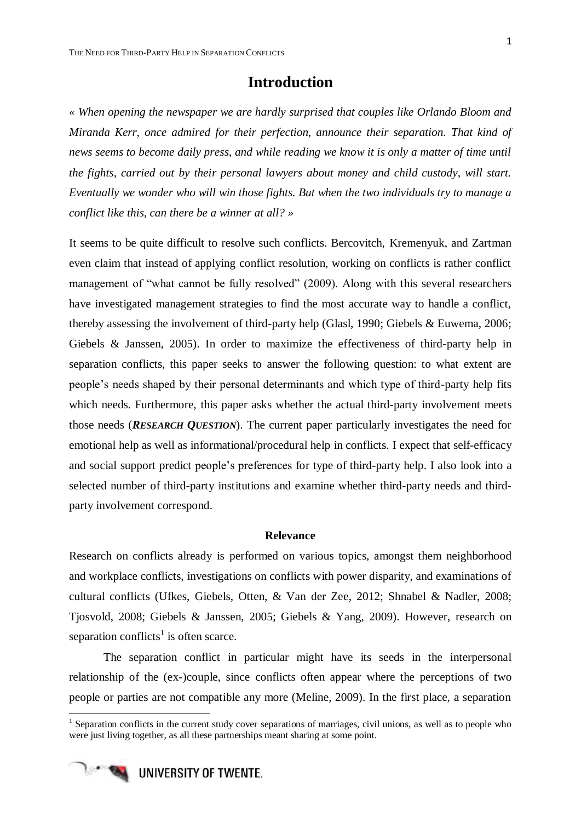## **Introduction**

<span id="page-6-0"></span>*« When opening the newspaper we are hardly surprised that couples like Orlando Bloom and Miranda Kerr, once admired for their perfection, announce their separation. That kind of news seems to become daily press, and while reading we know it is only a matter of time until the fights, carried out by their personal lawyers about money and child custody, will start. Eventually we wonder who will win those fights. But when the two individuals try to manage a conflict like this, can there be a winner at all? »*

It seems to be quite difficult to resolve such conflicts. Bercovitch, Kremenyuk, and Zartman even claim that instead of applying conflict resolution, working on conflicts is rather conflict management of "what cannot be fully resolved" (2009). Along with this several researchers have investigated management strategies to find the most accurate way to handle a conflict, thereby assessing the involvement of third-party help (Glasl, 1990; Giebels & Euwema, 2006; Giebels & Janssen, 2005). In order to maximize the effectiveness of third-party help in separation conflicts, this paper seeks to answer the following question: to what extent are people's needs shaped by their personal determinants and which type of third-party help fits which needs. Furthermore, this paper asks whether the actual third-party involvement meets those needs (*RESEARCH QUESTION*). The current paper particularly investigates the need for emotional help as well as informational/procedural help in conflicts. I expect that self-efficacy and social support predict people's preferences for type of third-party help. I also look into a selected number of third-party institutions and examine whether third-party needs and thirdparty involvement correspond.

## **Relevance**

<span id="page-6-1"></span>Research on conflicts already is performed on various topics, amongst them neighborhood and workplace conflicts, investigations on conflicts with power disparity, and examinations of cultural conflicts (Ufkes, Giebels, Otten, & Van der Zee, 2012; Shnabel & Nadler, 2008; Tjosvold, 2008; Giebels & Janssen, 2005; Giebels & Yang, 2009). However, research on separation conflicts<sup>1</sup> is often scarce.

The separation conflict in particular might have its seeds in the interpersonal relationship of the (ex-)couple, since conflicts often appear where the perceptions of two people or parties are not compatible any more (Meline, 2009). In the first place, a separation

<sup>&</sup>lt;sup>1</sup> Separation conflicts in the current study cover separations of marriages, civil unions, as well as to people who were just living together, as all these partnerships meant sharing at some point.



-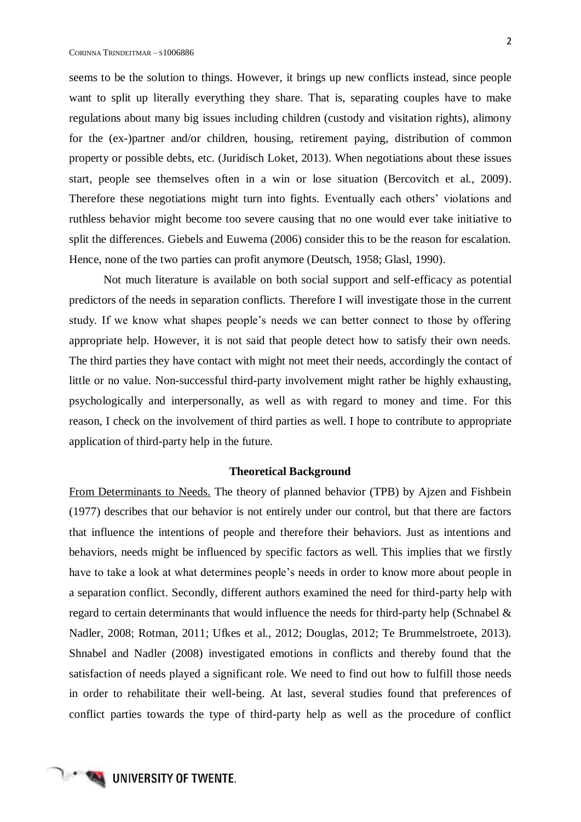seems to be the solution to things. However, it brings up new conflicts instead, since people want to split up literally everything they share. That is, separating couples have to make regulations about many big issues including children (custody and visitation rights), alimony for the (ex-)partner and/or children, housing, retirement paying, distribution of common property or possible debts, etc. (Juridisch Loket, 2013). When negotiations about these issues start, people see themselves often in a win or lose situation (Bercovitch et al., 2009). Therefore these negotiations might turn into fights. Eventually each others' violations and ruthless behavior might become too severe causing that no one would ever take initiative to split the differences. Giebels and Euwema (2006) consider this to be the reason for escalation. Hence, none of the two parties can profit anymore (Deutsch, 1958; Glasl, 1990).

Not much literature is available on both social support and self-efficacy as potential predictors of the needs in separation conflicts. Therefore I will investigate those in the current study. If we know what shapes people's needs we can better connect to those by offering appropriate help. However, it is not said that people detect how to satisfy their own needs. The third parties they have contact with might not meet their needs, accordingly the contact of little or no value. Non-successful third-party involvement might rather be highly exhausting, psychologically and interpersonally, as well as with regard to money and time. For this reason, I check on the involvement of third parties as well. I hope to contribute to appropriate application of third-party help in the future.

#### **Theoretical Background**

<span id="page-7-1"></span><span id="page-7-0"></span>From Determinants to Needs. The theory of planned behavior (TPB) by Ajzen and Fishbein (1977) describes that our behavior is not entirely under our control, but that there are factors that influence the intentions of people and therefore their behaviors. Just as intentions and behaviors, needs might be influenced by specific factors as well. This implies that we firstly have to take a look at what determines people's needs in order to know more about people in a separation conflict. Secondly, different authors examined the need for third-party help with regard to certain determinants that would influence the needs for third-party help (Schnabel & Nadler, 2008; Rotman, 2011; Ufkes et al., 2012; Douglas, 2012; Te Brummelstroete, 2013). Shnabel and Nadler (2008) investigated emotions in conflicts and thereby found that the satisfaction of needs played a significant role. We need to find out how to fulfill those needs in order to rehabilitate their well-being. At last, several studies found that preferences of conflict parties towards the type of third-party help as well as the procedure of conflict

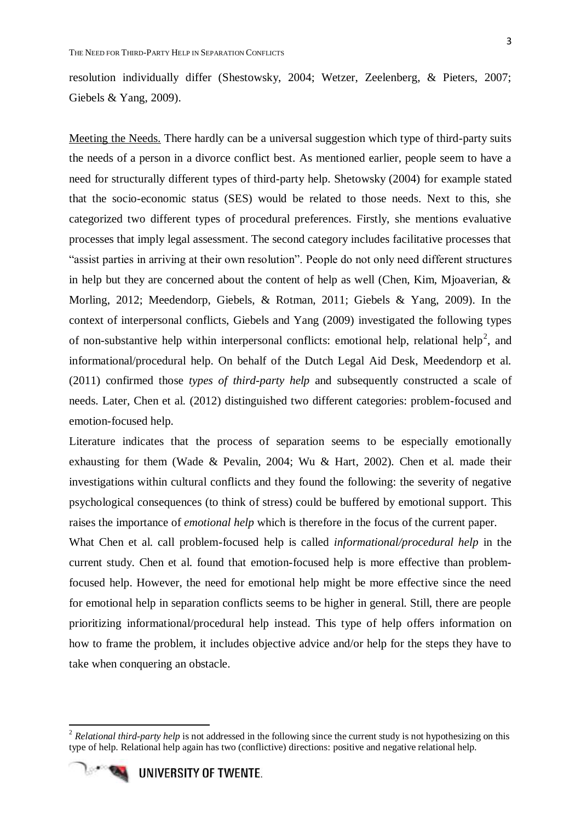resolution individually differ (Shestowsky, 2004; Wetzer, Zeelenberg, & Pieters, 2007; Giebels & Yang, 2009).

<span id="page-8-0"></span>Meeting the Needs. There hardly can be a universal suggestion which type of third-party suits the needs of a person in a divorce conflict best. As mentioned earlier, people seem to have a need for structurally different types of third-party help. Shetowsky (2004) for example stated that the socio-economic status (SES) would be related to those needs. Next to this, she categorized two different types of procedural preferences. Firstly, she mentions evaluative processes that imply legal assessment. The second category includes facilitative processes that "assist parties in arriving at their own resolution". People do not only need different structures in help but they are concerned about the content of help as well (Chen, Kim, Mjoaverian, & Morling, 2012; Meedendorp, Giebels, & Rotman, 2011; Giebels & Yang, 2009). In the context of interpersonal conflicts, Giebels and Yang (2009) investigated the following types of non-substantive help within interpersonal conflicts: emotional help, relational help<sup>2</sup>, and informational/procedural help. On behalf of the Dutch Legal Aid Desk, Meedendorp et al. (2011) confirmed those *types of third-party help* and subsequently constructed a scale of needs. Later, Chen et al. (2012) distinguished two different categories: problem-focused and emotion-focused help.

Literature indicates that the process of separation seems to be especially emotionally exhausting for them (Wade & Pevalin, 2004; Wu & Hart, 2002). Chen et al. made their investigations within cultural conflicts and they found the following: the severity of negative psychological consequences (to think of stress) could be buffered by emotional support. This raises the importance of *emotional help* which is therefore in the focus of the current paper.

What Chen et al. call problem-focused help is called *informational/procedural help* in the current study. Chen et al. found that emotion-focused help is more effective than problemfocused help. However, the need for emotional help might be more effective since the need for emotional help in separation conflicts seems to be higher in general. Still, there are people prioritizing informational/procedural help instead. This type of help offers information on how to frame the problem, it includes objective advice and/or help for the steps they have to take when conquering an obstacle.

<sup>&</sup>lt;sup>2</sup> Relational third-party help is not addressed in the following since the current study is not hypothesizing on this type of help. Relational help again has two (conflictive) directions: positive and negative relational help.



1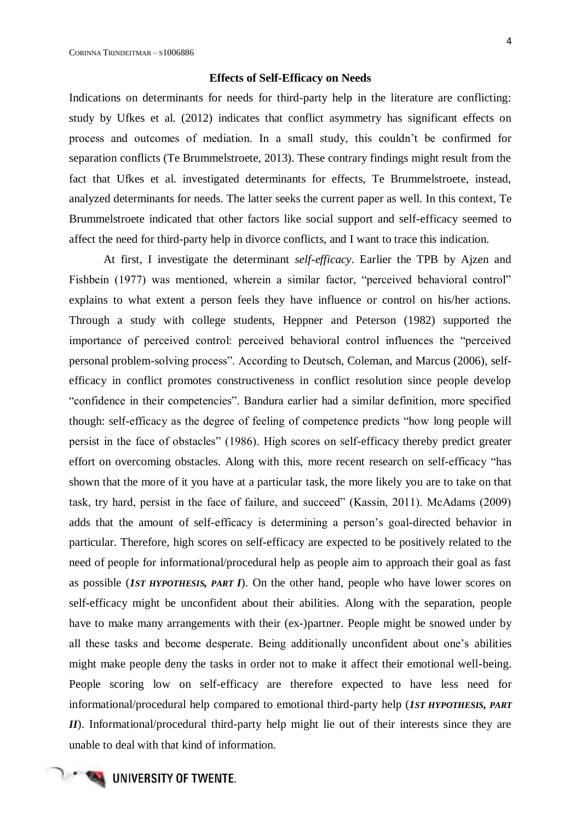## **Effects of Self-Efficacy on Needs**

<span id="page-9-0"></span>Indications on determinants for needs for third-party help in the literature are conflicting: study by Ufkes et al. (2012) indicates that conflict asymmetry has significant effects on process and outcomes of mediation. In a small study, this couldn't be confirmed for separation conflicts (Te Brummelstroete, 2013). These contrary findings might result from the fact that Ufkes et al. investigated determinants for effects, Te Brummelstroete, instead, analyzed determinants for needs. The latter seeks the current paper as well. In this context, Te Brummelstroete indicated that other factors like social support and self-efficacy seemed to affect the need for third-party help in divorce conflicts, and I want to trace this indication.

At first, I investigate the determinant *self-efficacy*. Earlier the TPB by Ajzen and Fishbein (1977) was mentioned, wherein a similar factor, "perceived behavioral control" explains to what extent a person feels they have influence or control on his/her actions. Through a study with college students, Heppner and Peterson (1982) supported the importance of perceived control: perceived behavioral control influences the "perceived personal problem-solving process". According to Deutsch, Coleman, and Marcus (2006), selfefficacy in conflict promotes constructiveness in conflict resolution since people develop "confidence in their competencies". Bandura earlier had a similar definition, more specified though: self-efficacy as the degree of feeling of competence predicts "how long people will persist in the face of obstacles" (1986). High scores on self-efficacy thereby predict greater effort on overcoming obstacles. Along with this, more recent research on self-efficacy "has shown that the more of it you have at a particular task, the more likely you are to take on that task, try hard, persist in the face of failure, and succeed" (Kassin, 2011). McAdams (2009) adds that the amount of self-efficacy is determining a person's goal-directed behavior in particular. Therefore, high scores on self-efficacy are expected to be positively related to the need of people for informational/procedural help as people aim to approach their goal as fast as possible (*1ST HYPOTHESIS, PART I*). On the other hand, people who have lower scores on self-efficacy might be unconfident about their abilities. Along with the separation, people have to make many arrangements with their (ex-)partner. People might be snowed under by all these tasks and become desperate. Being additionally unconfident about one's abilities might make people deny the tasks in order not to make it affect their emotional well-being. People scoring low on self-efficacy are therefore expected to have less need for informational/procedural help compared to emotional third-party help (*1ST HYPOTHESIS, PART II*). Informational/procedural third-party help might lie out of their interests since they are unable to deal with that kind of information.

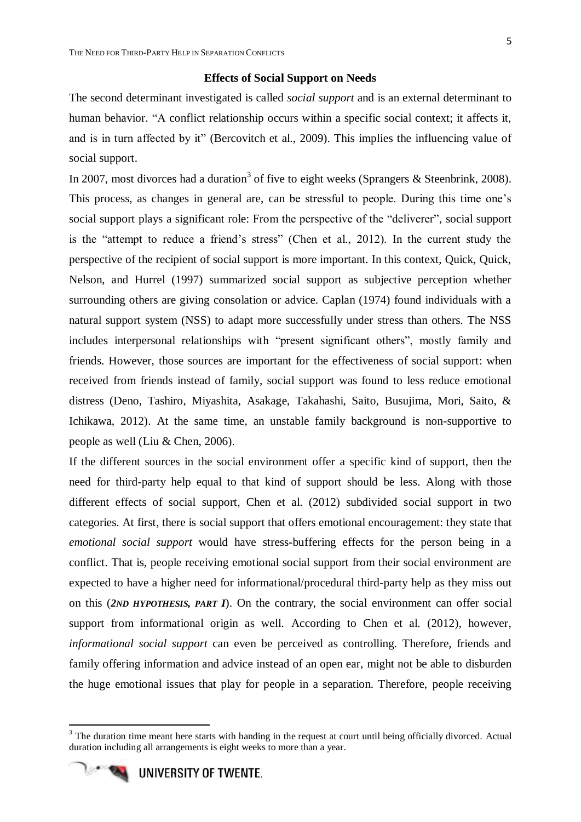## **Effects of Social Support on Needs**

<span id="page-10-0"></span>The second determinant investigated is called *social support* and is an external determinant to human behavior. "A conflict relationship occurs within a specific social context; it affects it, and is in turn affected by it" (Bercovitch et al., 2009). This implies the influencing value of social support.

In 2007, most divorces had a duration<sup>3</sup> of five to eight weeks (Sprangers & Steenbrink, 2008). This process, as changes in general are, can be stressful to people. During this time one's social support plays a significant role: From the perspective of the "deliverer", social support is the "attempt to reduce a friend's stress" (Chen et al., 2012). In the current study the perspective of the recipient of social support is more important. In this context, Quick, Quick, Nelson, and Hurrel (1997) summarized social support as subjective perception whether surrounding others are giving consolation or advice. Caplan (1974) found individuals with a natural support system (NSS) to adapt more successfully under stress than others. The NSS includes interpersonal relationships with "present significant others", mostly family and friends. However, those sources are important for the effectiveness of social support: when received from friends instead of family, social support was found to less reduce emotional distress (Deno, Tashiro, Miyashita, Asakage, Takahashi, Saito, Busujima, Mori, Saito, & Ichikawa, 2012). At the same time, an unstable family background is non-supportive to people as well (Liu & Chen, 2006).

If the different sources in the social environment offer a specific kind of support, then the need for third-party help equal to that kind of support should be less. Along with those different effects of social support, Chen et al. (2012) subdivided social support in two categories. At first, there is social support that offers emotional encouragement: they state that *emotional social support* would have stress-buffering effects for the person being in a conflict. That is, people receiving emotional social support from their social environment are expected to have a higher need for informational/procedural third-party help as they miss out on this (*2ND HYPOTHESIS, PART I*). On the contrary, the social environment can offer social support from informational origin as well. According to Chen et al. (2012), however, *informational social support* can even be perceived as controlling. Therefore, friends and family offering information and advice instead of an open ear, might not be able to disburden the huge emotional issues that play for people in a separation. Therefore, people receiving

<sup>&</sup>lt;sup>3</sup> The duration time meant here starts with handing in the request at court until being officially divorced. Actual duration including all arrangements is eight weeks to more than a year.



1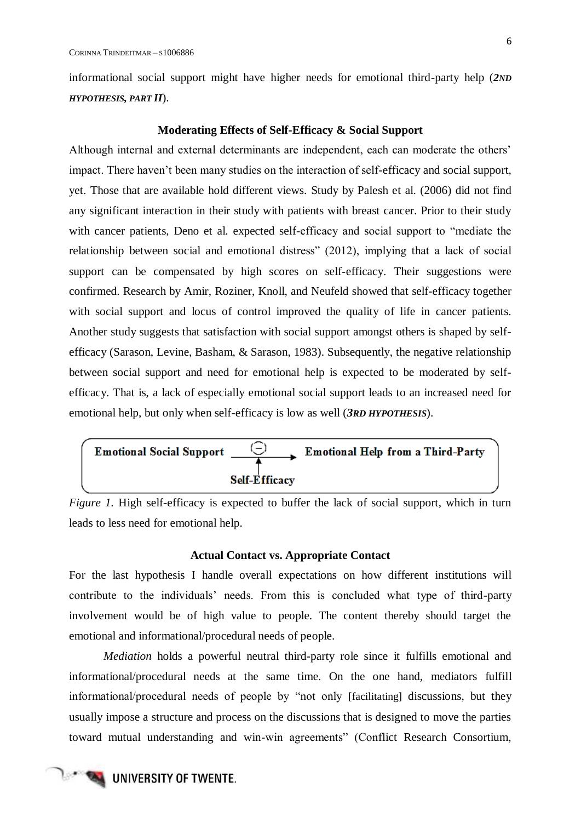informational social support might have higher needs for emotional third-party help (*2ND HYPOTHESIS, PART II*).

#### **Moderating Effects of Self-Efficacy & Social Support**

<span id="page-11-0"></span>Although internal and external determinants are independent, each can moderate the others' impact. There haven't been many studies on the interaction of self-efficacy and social support, yet. Those that are available hold different views. Study by Palesh et al. (2006) did not find any significant interaction in their study with patients with breast cancer. Prior to their study with cancer patients, Deno et al. expected self-efficacy and social support to "mediate the relationship between social and emotional distress" (2012), implying that a lack of social support can be compensated by high scores on self-efficacy. Their suggestions were confirmed. Research by Amir, Roziner, Knoll, and Neufeld showed that self-efficacy together with social support and locus of control improved the quality of life in cancer patients. Another study suggests that satisfaction with social support amongst others is shaped by selfefficacy (Sarason, Levine, Basham, & Sarason, 1983). Subsequently, the negative relationship between social support and need for emotional help is expected to be moderated by selfefficacy. That is, a lack of especially emotional social support leads to an increased need for emotional help, but only when self-efficacy is low as well (*3RD HYPOTHESIS*).



*Figure 1.* High self-efficacy is expected to buffer the lack of social support, which in turn leads to less need for emotional help.

## **Actual Contact vs. Appropriate Contact**

<span id="page-11-1"></span>For the last hypothesis I handle overall expectations on how different institutions will contribute to the individuals' needs. From this is concluded what type of third-party involvement would be of high value to people. The content thereby should target the emotional and informational/procedural needs of people.

*Mediation* holds a powerful neutral third-party role since it fulfills emotional and informational/procedural needs at the same time. On the one hand, mediators fulfill informational/procedural needs of people by "not only [facilitating] discussions, but they usually impose a structure and process on the discussions that is designed to move the parties toward mutual understanding and win-win agreements" (Conflict Research Consortium,

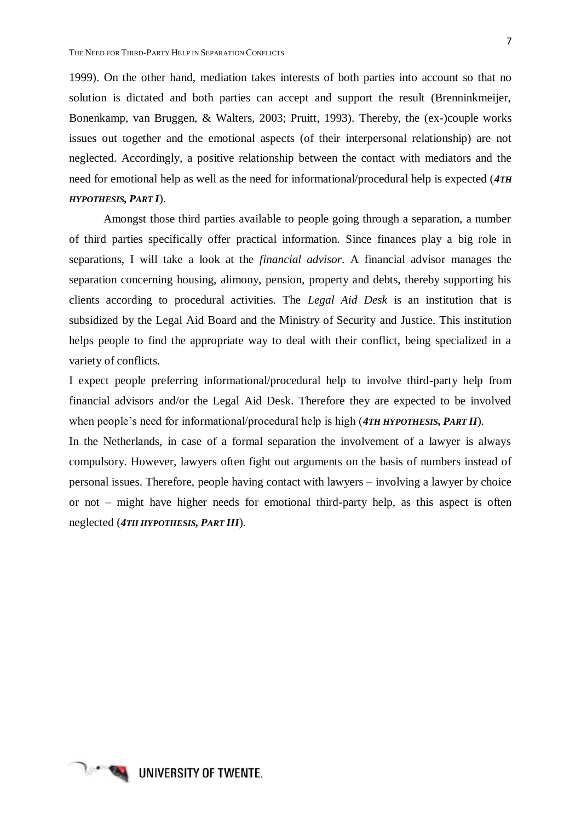1999). On the other hand, mediation takes interests of both parties into account so that no solution is dictated and both parties can accept and support the result (Brenninkmeijer, Bonenkamp, van Bruggen, & Walters, 2003; Pruitt, 1993). Thereby, the (ex-)couple works issues out together and the emotional aspects (of their interpersonal relationship) are not neglected. Accordingly, a positive relationship between the contact with mediators and the need for emotional help as well as the need for informational/procedural help is expected (*4TH HYPOTHESIS, PART I*).

Amongst those third parties available to people going through a separation, a number of third parties specifically offer practical information. Since finances play a big role in separations, I will take a look at the *financial advisor*. A financial advisor manages the separation concerning housing, alimony, pension, property and debts, thereby supporting his clients according to procedural activities. The *Legal Aid Desk* is an institution that is subsidized by the Legal Aid Board and the Ministry of Security and Justice. This institution helps people to find the appropriate way to deal with their conflict, being specialized in a variety of conflicts.

I expect people preferring informational/procedural help to involve third-party help from financial advisors and/or the Legal Aid Desk. Therefore they are expected to be involved when people's need for informational/procedural help is high (*4TH HYPOTHESIS, PART II*).

In the Netherlands, in case of a formal separation the involvement of a lawyer is always compulsory. However, lawyers often fight out arguments on the basis of numbers instead of personal issues. Therefore, people having contact with lawyers – involving a lawyer by choice or not – might have higher needs for emotional third-party help, as this aspect is often neglected (*4TH HYPOTHESIS, PART III*).

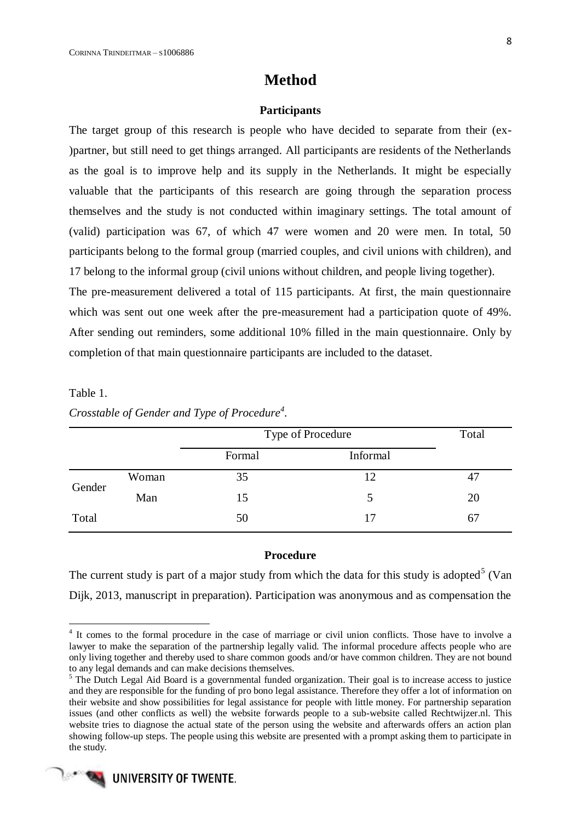## **Method**

## **Participants**

<span id="page-13-1"></span><span id="page-13-0"></span>The target group of this research is people who have decided to separate from their (ex- )partner, but still need to get things arranged. All participants are residents of the Netherlands as the goal is to improve help and its supply in the Netherlands. It might be especially valuable that the participants of this research are going through the separation process themselves and the study is not conducted within imaginary settings. The total amount of (valid) participation was 67, of which 47 were women and 20 were men. In total, 50 participants belong to the formal group (married couples, and civil unions with children), and 17 belong to the informal group (civil unions without children, and people living together).

The pre-measurement delivered a total of 115 participants. At first, the main questionnaire which was sent out one week after the pre-measurement had a participation quote of 49%. After sending out reminders, some additional 10% filled in the main questionnaire. Only by completion of that main questionnaire participants are included to the dataset.

## Table 1.

1

| Crosstable of Gender and Type of Procedure <sup>4</sup> . |  |  |
|-----------------------------------------------------------|--|--|
|                                                           |  |  |

|        |       | Type of Procedure | Total    |    |
|--------|-------|-------------------|----------|----|
|        |       | Formal            | Informal |    |
| Gender | Woman | 35                | 12       | 47 |
|        | Man   | 15                | 5        | 20 |
| Total  |       | 50                | 17       | 67 |

## **Procedure**

<span id="page-13-2"></span>The current study is part of a major study from which the data for this study is adopted<sup>5</sup> (Van Dijk, 2013, manuscript in preparation). Participation was anonymous and as compensation the

<sup>&</sup>lt;sup>5</sup> The Dutch Legal Aid Board is a governmental funded organization. Their goal is to increase access to justice and they are responsible for the funding of pro bono legal assistance. Therefore they offer a lot of information on their website and show possibilities for legal assistance for people with little money. For partnership separation issues (and other conflicts as well) the website forwards people to a sub-website called Rechtwijzer.nl. This website tries to diagnose the actual state of the person using the website and afterwards offers an action plan showing follow-up steps. The people using this website are presented with a prompt asking them to participate in the study.



<sup>&</sup>lt;sup>4</sup> It comes to the formal procedure in the case of marriage or civil union conflicts. Those have to involve a lawyer to make the separation of the partnership legally valid. The informal procedure affects people who are only living together and thereby used to share common goods and/or have common children. They are not bound to any legal demands and can make decisions themselves.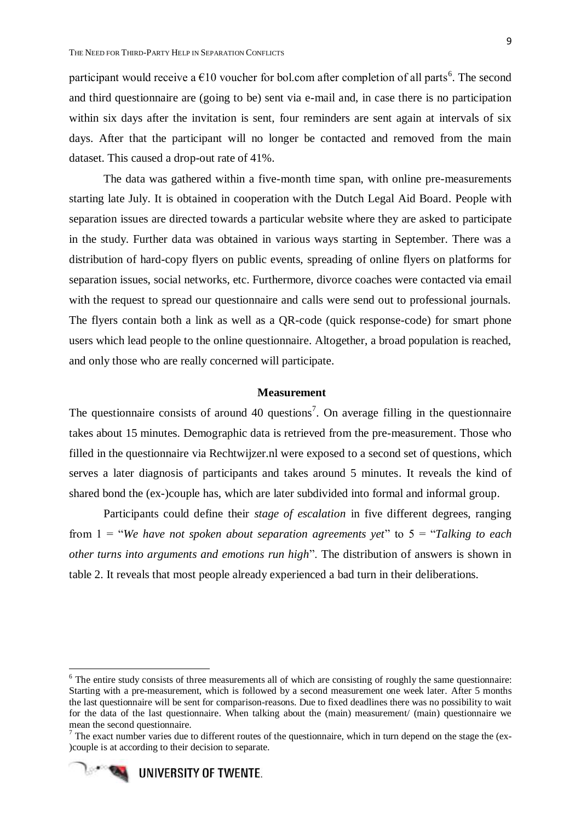participant would receive a  $\epsilon$ 10 voucher for bol.com after completion of all parts<sup>6</sup>. The second and third questionnaire are (going to be) sent via e-mail and, in case there is no participation within six days after the invitation is sent, four reminders are sent again at intervals of six days. After that the participant will no longer be contacted and removed from the main dataset. This caused a drop-out rate of 41%.

The data was gathered within a five-month time span, with online pre-measurements starting late July. It is obtained in cooperation with the Dutch Legal Aid Board. People with separation issues are directed towards a particular website where they are asked to participate in the study. Further data was obtained in various ways starting in September. There was a distribution of hard-copy flyers on public events, spreading of online flyers on platforms for separation issues, social networks, etc. Furthermore, divorce coaches were contacted via email with the request to spread our questionnaire and calls were send out to professional journals. The flyers contain both a link as well as a QR-code (quick response-code) for smart phone users which lead people to the online questionnaire. Altogether, a broad population is reached, and only those who are really concerned will participate.

## <span id="page-14-0"></span>**Measurement**

The questionnaire consists of around 40 questions<sup>7</sup>. On average filling in the questionnaire takes about 15 minutes. Demographic data is retrieved from the pre-measurement. Those who filled in the questionnaire via Rechtwijzer.nl were exposed to a second set of questions, which serves a later diagnosis of participants and takes around 5 minutes. It reveals the kind of shared bond the (ex-)couple has, which are later subdivided into formal and informal group.

Participants could define their *stage of escalation* in five different degrees, ranging from 1 = "*We have not spoken about separation agreements yet*" to 5 = "*Talking to each other turns into arguments and emotions run high*". The distribution of answers is shown in table 2. It reveals that most people already experienced a bad turn in their deliberations.

 $7$  The exact number varies due to different routes of the questionnaire, which in turn depend on the stage the (ex-)couple is at according to their decision to separate.



-

 $6$  The entire study consists of three measurements all of which are consisting of roughly the same questionnaire: Starting with a pre-measurement, which is followed by a second measurement one week later. After 5 months the last questionnaire will be sent for comparison-reasons. Due to fixed deadlines there was no possibility to wait for the data of the last questionnaire. When talking about the (main) measurement/ (main) questionnaire we mean the second questionnaire.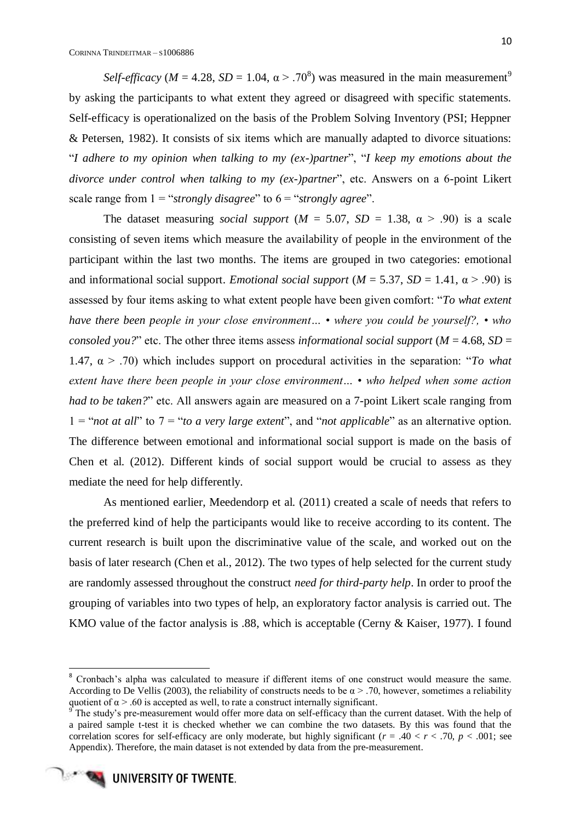*Self-efficacy* ( $M = 4.28$ ,  $SD = 1.04$ ,  $\alpha > .70^8$ ) was measured in the main measurement<sup>9</sup> by asking the participants to what extent they agreed or disagreed with specific statements. Self-efficacy is operationalized on the basis of the Problem Solving Inventory (PSI; Heppner & Petersen, 1982). It consists of six items which are manually adapted to divorce situations: "*I adhere to my opinion when talking to my (ex-)partner*", "*I keep my emotions about the divorce under control when talking to my (ex-)partner*", etc. Answers on a 6-point Likert scale range from 1 = "*strongly disagree*" to 6 = "*strongly agree*".

The dataset measuring *social support*  $(M = 5.07, SD = 1.38, \alpha > .90)$  is a scale consisting of seven items which measure the availability of people in the environment of the participant within the last two months. The items are grouped in two categories: emotional and informational social support. *Emotional social support* ( $M = 5.37$ ,  $SD = 1.41$ ,  $\alpha > .90$ ) is assessed by four items asking to what extent people have been given comfort: "*To what extent have there been people in your close environment… • where you could be yourself?, • who consoled you?*" etc. The other three items assess *informational social support* ( $M = 4.68$ ,  $SD =$ 1.47, α > .70) which includes support on procedural activities in the separation: "*To what extent have there been people in your close environment… • who helped when some action had to be taken?*" etc. All answers again are measured on a 7-point Likert scale ranging from 1 = "*not at all*" to 7 = "*to a very large extent*", and "*not applicable*" as an alternative option. The difference between emotional and informational social support is made on the basis of Chen et al. (2012). Different kinds of social support would be crucial to assess as they mediate the need for help differently.

As mentioned earlier, Meedendorp et al. (2011) created a scale of needs that refers to the preferred kind of help the participants would like to receive according to its content. The current research is built upon the discriminative value of the scale, and worked out on the basis of later research (Chen et al., 2012). The two types of help selected for the current study are randomly assessed throughout the construct *need for third-party help*. In order to proof the grouping of variables into two types of help, an exploratory factor analysis is carried out. The KMO value of the factor analysis is .88, which is acceptable (Cerny & Kaiser, 1977). I found

**.** 

<sup>&</sup>lt;sup>8</sup> Cronbach's alpha was calculated to measure if different items of one construct would measure the same. According to De Vellis (2003), the reliability of constructs needs to be  $\alpha$  > .70, however, sometimes a reliability quotient of  $\alpha$  > .60 is accepted as well, to rate a construct internally significant.

The study's pre-measurement would offer more data on self-efficacy than the current dataset. With the help of a paired sample t-test it is checked whether we can combine the two datasets. By this was found that the correlation scores for self-efficacy are only moderate, but highly significant ( $r = .40 < r < .70$ ,  $p < .001$ ; see Appendix). Therefore, the main dataset is not extended by data from the pre-measurement.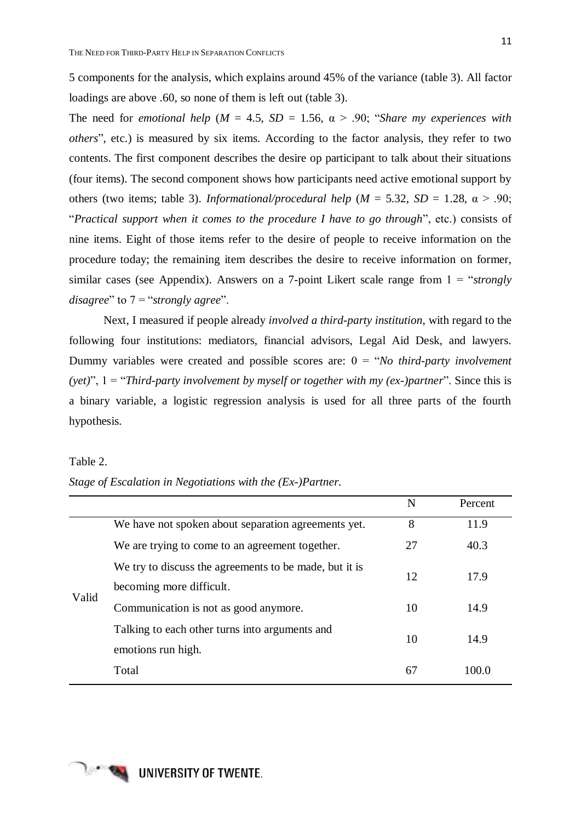5 components for the analysis, which explains around 45% of the variance (table 3). All factor loadings are above .60, so none of them is left out (table 3).

The need for *emotional help* ( $M = 4.5$ ,  $SD = 1.56$ ,  $\alpha > .90$ ; "*Share my experiences with others*", etc.) is measured by six items. According to the factor analysis, they refer to two contents. The first component describes the desire op participant to talk about their situations (four items). The second component shows how participants need active emotional support by others (two items; table 3). *Informational/procedural help* ( $M = 5.32$ ,  $SD = 1.28$ ,  $\alpha > .90$ ; "*Practical support when it comes to the procedure I have to go through*", etc.) consists of nine items. Eight of those items refer to the desire of people to receive information on the procedure today; the remaining item describes the desire to receive information on former, similar cases (see Appendix). Answers on a 7-point Likert scale range from 1 = "*strongly disagree*" to 7 = "*strongly agree*".

Next, I measured if people already *involved a third-party institution*, with regard to the following four institutions: mediators, financial advisors, Legal Aid Desk, and lawyers. Dummy variables were created and possible scores are: 0 = "*No third-party involvement (yet)*", 1 = "*Third-party involvement by myself or together with my (ex-)partner*". Since this is a binary variable, a logistic regression analysis is used for all three parts of the fourth hypothesis.

#### Table 2.

|  |  | Stage of Escalation in Negotiations with the (Ex-)Partner. |  |  |
|--|--|------------------------------------------------------------|--|--|
|  |  |                                                            |  |  |

|                                                        | N  | Percent  |
|--------------------------------------------------------|----|----------|
| We have not spoken about separation agreements yet.    | 8  | 11.9     |
| We are trying to come to an agreement together.        | 27 | 40.3     |
| We try to discuss the agreements to be made, but it is |    | 17.9     |
| becoming more difficult.                               |    |          |
| Communication is not as good anymore.                  | 10 | 14.9     |
| Talking to each other turns into arguments and         |    | 14.9     |
| emotions run high.                                     |    |          |
| Total                                                  | 67 | 100.0    |
|                                                        |    | 12<br>10 |

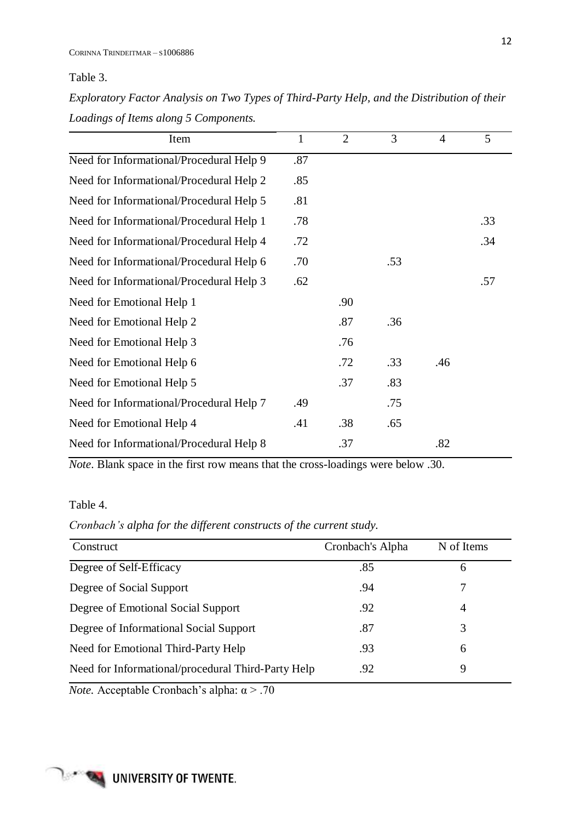Table 3.

*Exploratory Factor Analysis on Two Types of Third-Party Help, and the Distribution of their Loadings of Items along 5 Components.*

| Item                                     | $\mathbf{1}$ | $\overline{2}$ | 3   | $\overline{4}$ | 5   |
|------------------------------------------|--------------|----------------|-----|----------------|-----|
| Need for Informational/Procedural Help 9 | .87          |                |     |                |     |
| Need for Informational/Procedural Help 2 | .85          |                |     |                |     |
| Need for Informational/Procedural Help 5 | .81          |                |     |                |     |
| Need for Informational/Procedural Help 1 | .78          |                |     |                | .33 |
| Need for Informational/Procedural Help 4 | .72          |                |     |                | .34 |
| Need for Informational/Procedural Help 6 | .70          |                | .53 |                |     |
| Need for Informational/Procedural Help 3 | .62          |                |     |                | .57 |
| Need for Emotional Help 1                |              | .90            |     |                |     |
| Need for Emotional Help 2                |              | .87            | .36 |                |     |
| Need for Emotional Help 3                |              | .76            |     |                |     |
| Need for Emotional Help 6                |              | .72            | .33 | .46            |     |
| Need for Emotional Help 5                |              | .37            | .83 |                |     |
| Need for Informational/Procedural Help 7 | .49          |                | .75 |                |     |
| Need for Emotional Help 4                | .41          | .38            | .65 |                |     |
| Need for Informational/Procedural Help 8 |              | .37            |     | .82            |     |

*Note*. Blank space in the first row means that the cross-loadings were below .30.

Table 4.

*Cronbach's alpha for the different constructs of the current study.*

| Cronbach's Alpha | N of Items     |
|------------------|----------------|
| .85              | 6              |
| .94              |                |
| .92              | $\overline{4}$ |
| .87              | 3              |
| .93              | 6              |
| .92              | 9              |
|                  |                |

*Note.* Acceptable Cronbach's alpha: α > .70

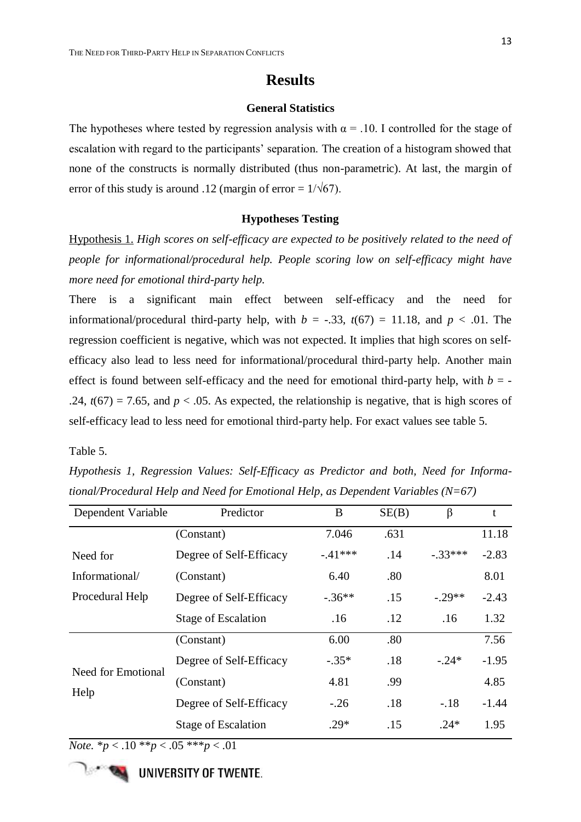## **Results**

## **General Statistics**

<span id="page-18-1"></span><span id="page-18-0"></span>The hypotheses where tested by regression analysis with  $\alpha = 0.1$  controlled for the stage of escalation with regard to the participants' separation. The creation of a histogram showed that none of the constructs is normally distributed (thus non-parametric). At last, the margin of error of this study is around .12 (margin of error =  $1/\sqrt{67}$ ).

## **Hypotheses Testing**

<span id="page-18-2"></span>Hypothesis 1. *High scores on self-efficacy are expected to be positively related to the need of people for informational/procedural help. People scoring low on self-efficacy might have more need for emotional third-party help.* 

There is a significant main effect between self-efficacy and the need for informational/procedural third-party help, with  $b = -0.33$ ,  $t(67) = 11.18$ , and  $p < 0.01$ . The regression coefficient is negative, which was not expected. It implies that high scores on selfefficacy also lead to less need for informational/procedural third-party help. Another main effect is found between self-efficacy and the need for emotional third-party help, with  $b = -$ .24,  $t(67) = 7.65$ , and  $p < .05$ . As expected, the relationship is negative, that is high scores of self-efficacy lead to less need for emotional third-party help. For exact values see table 5.

Table 5.

*Hypothesis 1, Regression Values: Self-Efficacy as Predictor and both, Need for Informational/Procedural Help and Need for Emotional Help, as Dependent Variables (N=67)*

| Dependent Variable         | B<br>Predictor             |          | SE(B) | β         | t       |
|----------------------------|----------------------------|----------|-------|-----------|---------|
|                            | (Constant)                 | 7.046    | .631  |           | 11.18   |
| Need for                   | Degree of Self-Efficacy    | $-41***$ | .14   | $-.33***$ | $-2.83$ |
| Informational/             | (Constant)                 | 6.40     | .80   |           | 8.01    |
| Procedural Help            | Degree of Self-Efficacy    | $-.36**$ | .15   | $-.29**$  | $-2.43$ |
|                            | <b>Stage of Escalation</b> | .16      | .12   | .16       | 1.32    |
|                            | (Constant)                 | 6.00     | .80   |           | 7.56    |
| Need for Emotional<br>Help | Degree of Self-Efficacy    | $-.35*$  | .18   | $-.24*$   | $-1.95$ |
|                            | (Constant)                 | 4.81     | .99   |           | 4.85    |
|                            | Degree of Self-Efficacy    | $-.26$   | .18   | $-.18$    | $-1.44$ |
|                            | <b>Stage of Escalation</b> | $.29*$   | .15   | $.24*$    | 1.95    |

*Note.* \* $p < .10$  \*\* $p < .05$  \*\*\* $p < .01$ 

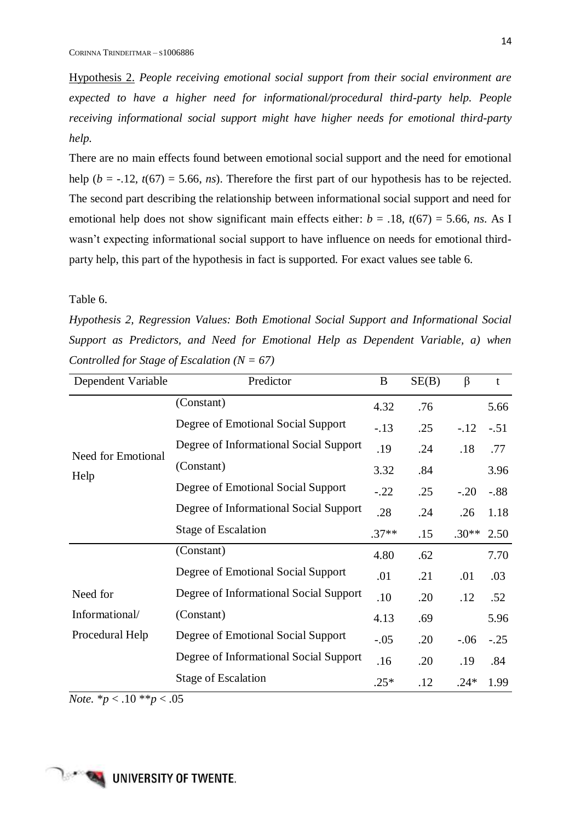Hypothesis 2. *People receiving emotional social support from their social environment are expected to have a higher need for informational/procedural third-party help. People receiving informational social support might have higher needs for emotional third-party help.*

There are no main effects found between emotional social support and the need for emotional help ( $b = -12$ ,  $t(67) = 5.66$ , *ns*). Therefore the first part of our hypothesis has to be rejected. The second part describing the relationship between informational social support and need for emotional help does not show significant main effects either:  $b = .18$ ,  $t(67) = 5.66$ , *ns*. As I wasn't expecting informational social support to have influence on needs for emotional thirdparty help, this part of the hypothesis in fact is supported. For exact values see table 6.

#### Table 6.

*Hypothesis 2, Regression Values: Both Emotional Social Support and Informational Social Support as Predictors, and Need for Emotional Help as Dependent Variable, a) when Controlled for Stage of Escalation (N = 67)*

| Dependent Variable | Predictor                              | B       | SE(B) | $\beta$ | $\mathbf t$ |
|--------------------|----------------------------------------|---------|-------|---------|-------------|
|                    | (Constant)                             | 4.32    | .76   |         | 5.66        |
|                    | Degree of Emotional Social Support     | $-.13$  | .25   | $-.12$  | $-.51$      |
| Need for Emotional | Degree of Informational Social Support | .19     | .24   | .18     | .77         |
| Help               | (Constant)                             | 3.32    | .84   |         | 3.96        |
|                    | Degree of Emotional Social Support     | $-.22$  | .25   | $-.20$  | $-.88$      |
|                    | Degree of Informational Social Support | .28     | .24   | .26     | 1.18        |
|                    | <b>Stage of Escalation</b>             | $.37**$ | .15   | $.30**$ | 2.50        |
|                    | (Constant)                             | 4.80    | .62   |         | 7.70        |
|                    | Degree of Emotional Social Support     | .01     | .21   | .01     | .03         |
| Need for           | Degree of Informational Social Support | .10     | .20   | .12     | .52         |
| Informational/     | (Constant)                             | 4.13    | .69   |         | 5.96        |
| Procedural Help    | Degree of Emotional Social Support     | $-.05$  | .20   | $-.06$  | $-.25$      |
|                    | Degree of Informational Social Support | .16     | .20   | .19     | .84         |
|                    | <b>Stage of Escalation</b>             | $.25*$  | .12   | $.24*$  | 1.99        |

*Note.*  $*_{p}$  < .10  $*_{p}$  < .05

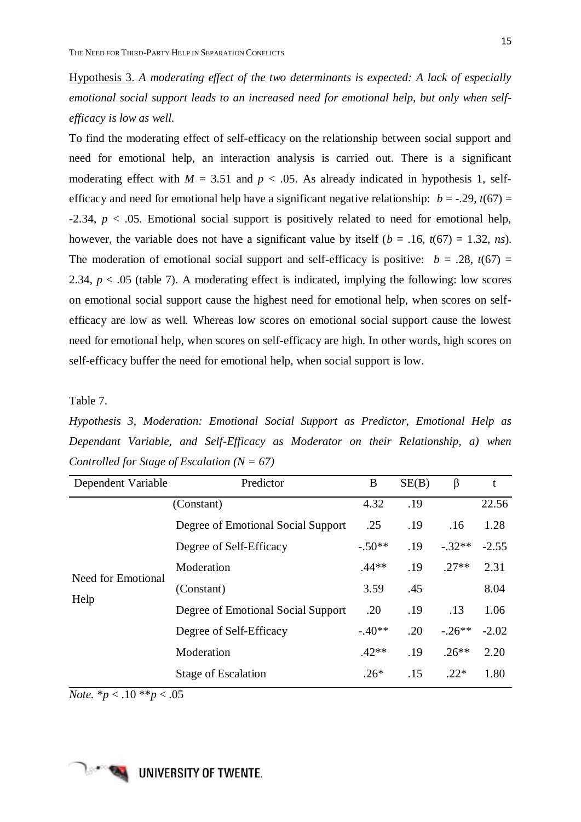Hypothesis 3. *A moderating effect of the two determinants is expected: A lack of especially emotional social support leads to an increased need for emotional help, but only when selfefficacy is low as well.* 

To find the moderating effect of self-efficacy on the relationship between social support and need for emotional help, an interaction analysis is carried out. There is a significant moderating effect with  $M = 3.51$  and  $p < .05$ . As already indicated in hypothesis 1, selfefficacy and need for emotional help have a significant negative relationship:  $b = -0.29$ ,  $t(67) =$ -2.34, *p* < .05. Emotional social support is positively related to need for emotional help, however, the variable does not have a significant value by itself ( $b = .16$ ,  $t(67) = 1.32$ , *ns*). The moderation of emotional social support and self-efficacy is positive:  $b = .28$ ,  $t(67) =$ 2.34,  $p < .05$  (table 7). A moderating effect is indicated, implying the following: low scores on emotional social support cause the highest need for emotional help, when scores on selfefficacy are low as well. Whereas low scores on emotional social support cause the lowest need for emotional help, when scores on self-efficacy are high. In other words, high scores on self-efficacy buffer the need for emotional help, when social support is low.

Table 7.

*Hypothesis 3, Moderation: Emotional Social Support as Predictor, Emotional Help as Dependant Variable, and Self-Efficacy as Moderator on their Relationship, a) when Controlled for Stage of Escalation (N = 67)*

| Dependent Variable | Predictor                          | B        | SE(B) | $\beta$  | t       |
|--------------------|------------------------------------|----------|-------|----------|---------|
|                    | (Constant)                         | 4.32     | .19   |          | 22.56   |
|                    | Degree of Emotional Social Support | .25      | .19   | .16      | 1.28    |
|                    | Degree of Self-Efficacy            | $-.50**$ | .19   | $-.32**$ | $-2.55$ |
| Need for Emotional | Moderation                         | $.44**$  | .19   | $.27**$  | 2.31    |
| Help               | (Constant)                         | 3.59     | .45   |          | 8.04    |
|                    | Degree of Emotional Social Support | .20      | .19   | .13      | 1.06    |
|                    | Degree of Self-Efficacy            | $-.40**$ | .20   | $-.26**$ | $-2.02$ |
|                    | Moderation                         | $.42**$  | .19   | $.26***$ | 2.20    |
|                    | <b>Stage of Escalation</b>         | $.26*$   | .15   | $.22*$   | 1.80    |

*Note.*  $*_{p}$  < .10  $*_{p}$  < .05

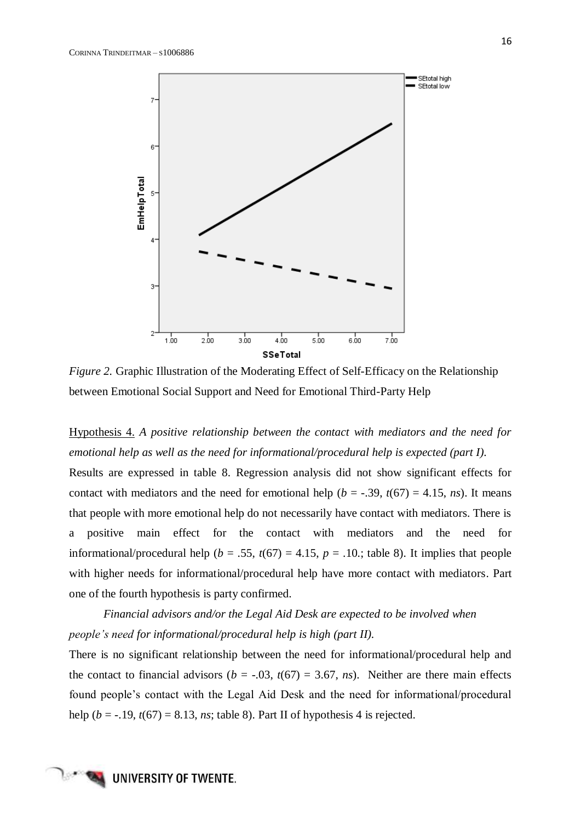

*Figure 2.* Graphic Illustration of the Moderating Effect of Self-Efficacy on the Relationship between Emotional Social Support and Need for Emotional Third-Party Help

## Hypothesis 4. *A positive relationship between the contact with mediators and the need for emotional help as well as the need for informational/procedural help is expected (part I).*

Results are expressed in table 8. Regression analysis did not show significant effects for contact with mediators and the need for emotional help ( $b = -.39$ ,  $t(67) = 4.15$ , *ns*). It means that people with more emotional help do not necessarily have contact with mediators. There is a positive main effect for the contact with mediators and the need for informational/procedural help ( $b = .55$ ,  $t(67) = 4.15$ ,  $p = .10$ .; table 8). It implies that people with higher needs for informational/procedural help have more contact with mediators. Part one of the fourth hypothesis is party confirmed.

*Financial advisors and/or the Legal Aid Desk are expected to be involved when people's need for informational/procedural help is high (part II).* 

There is no significant relationship between the need for informational/procedural help and the contact to financial advisors ( $b = -.03$ ,  $t(67) = 3.67$ , *ns*). Neither are there main effects found people's contact with the Legal Aid Desk and the need for informational/procedural help ( $b = -.19$ ,  $t(67) = 8.13$ , *ns*; table 8). Part II of hypothesis 4 is rejected.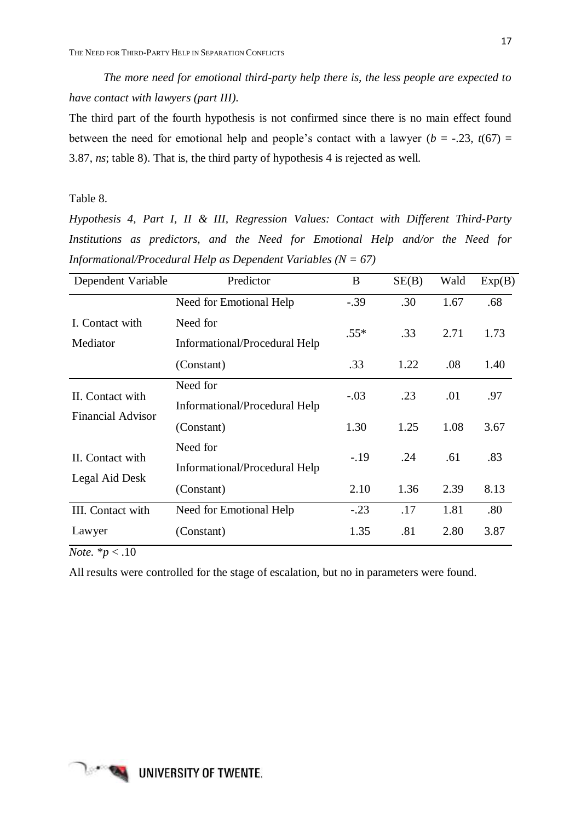*The more need for emotional third-party help there is, the less people are expected to have contact with lawyers (part III).* 

The third part of the fourth hypothesis is not confirmed since there is no main effect found between the need for emotional help and people's contact with a lawyer ( $b = -.23$ ,  $t(67) =$ 3.87, *ns*; table 8). That is, the third party of hypothesis 4 is rejected as well.

## Table 8.

*Hypothesis 4, Part I, II & III, Regression Values: Contact with Different Third-Party Institutions as predictors, and the Need for Emotional Help and/or the Need for Informational/Procedural Help as Dependent Variables (N = 67)*

| Dependent Variable                 | Predictor                                 | B      | SE(B) | Wald | Exp(B) |
|------------------------------------|-------------------------------------------|--------|-------|------|--------|
|                                    | Need for Emotional Help                   | $-.39$ | .30   | 1.67 | .68    |
| I. Contact with<br>Mediator        | Need for<br>Informational/Procedural Help | $.55*$ | .33   | 2.71 | 1.73   |
|                                    | (Constant)                                | .33    | 1.22  | .08  | 1.40   |
| II. Contact with                   | Need for<br>Informational/Procedural Help | $-.03$ | .23   | .01  | .97    |
| <b>Financial Advisor</b>           | (Constant)                                | 1.30   | 1.25  | 1.08 | 3.67   |
| II. Contact with<br>Legal Aid Desk | Need for<br>Informational/Procedural Help | $-.19$ | .24   | .61  | .83    |
|                                    | (Constant)                                | 2.10   | 1.36  | 2.39 | 8.13   |
| III. Contact with                  | Need for Emotional Help                   | $-.23$ | .17   | 1.81 | .80    |
| Lawyer                             | (Constant)                                | 1.35   | .81   | 2.80 | 3.87   |

*Note.* \**p* < .10

All results were controlled for the stage of escalation, but no in parameters were found.

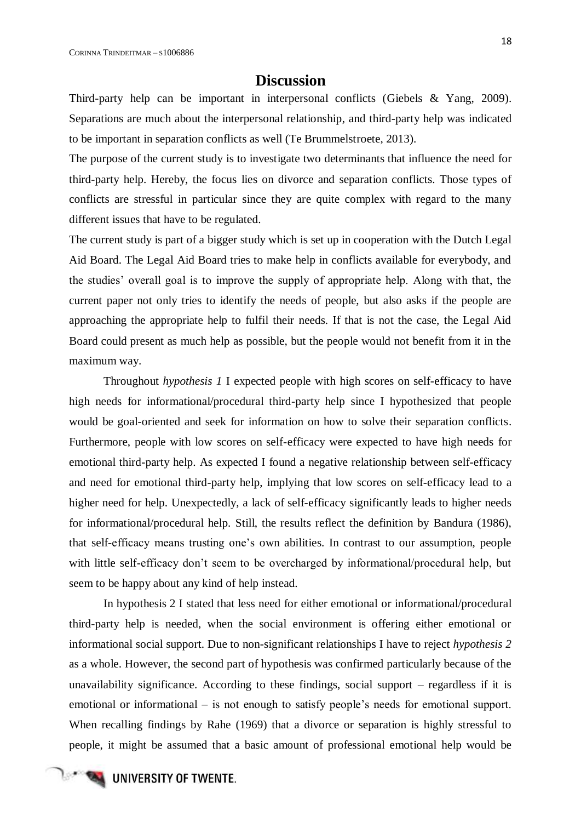## **Discussion**

<span id="page-23-0"></span>Third-party help can be important in interpersonal conflicts (Giebels & Yang, 2009). Separations are much about the interpersonal relationship, and third-party help was indicated to be important in separation conflicts as well (Te Brummelstroete, 2013).

The purpose of the current study is to investigate two determinants that influence the need for third-party help. Hereby, the focus lies on divorce and separation conflicts. Those types of conflicts are stressful in particular since they are quite complex with regard to the many different issues that have to be regulated.

The current study is part of a bigger study which is set up in cooperation with the Dutch Legal Aid Board. The Legal Aid Board tries to make help in conflicts available for everybody, and the studies' overall goal is to improve the supply of appropriate help. Along with that, the current paper not only tries to identify the needs of people, but also asks if the people are approaching the appropriate help to fulfil their needs. If that is not the case, the Legal Aid Board could present as much help as possible, but the people would not benefit from it in the maximum way.

Throughout *hypothesis 1* I expected people with high scores on self-efficacy to have high needs for informational/procedural third-party help since I hypothesized that people would be goal-oriented and seek for information on how to solve their separation conflicts. Furthermore, people with low scores on self-efficacy were expected to have high needs for emotional third-party help. As expected I found a negative relationship between self-efficacy and need for emotional third-party help, implying that low scores on self-efficacy lead to a higher need for help. Unexpectedly, a lack of self-efficacy significantly leads to higher needs for informational/procedural help. Still, the results reflect the definition by Bandura (1986), that self-efficacy means trusting one's own abilities. In contrast to our assumption, people with little self-efficacy don't seem to be overcharged by informational/procedural help, but seem to be happy about any kind of help instead.

In hypothesis 2 I stated that less need for either emotional or informational/procedural third-party help is needed, when the social environment is offering either emotional or informational social support. Due to non-significant relationships I have to reject *hypothesis 2* as a whole. However, the second part of hypothesis was confirmed particularly because of the unavailability significance. According to these findings, social support – regardless if it is emotional or informational – is not enough to satisfy people's needs for emotional support. When recalling findings by Rahe (1969) that a divorce or separation is highly stressful to people, it might be assumed that a basic amount of professional emotional help would be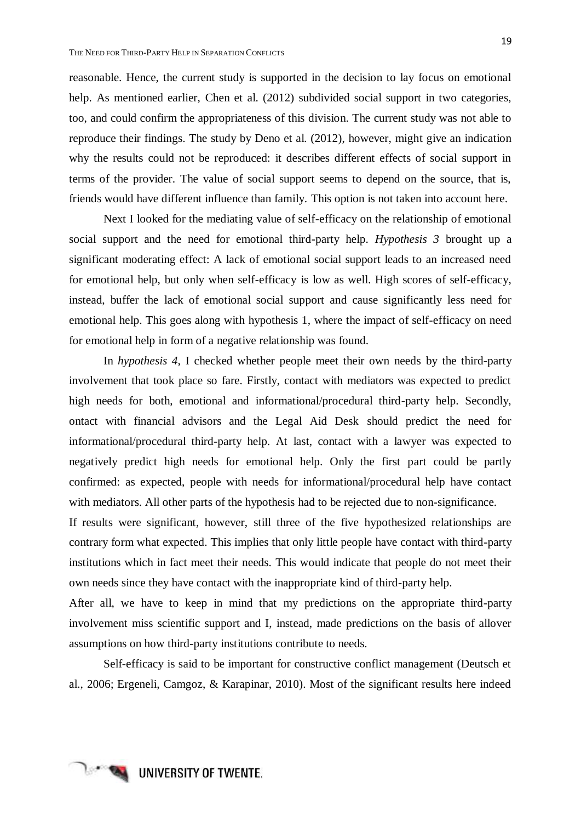reasonable. Hence, the current study is supported in the decision to lay focus on emotional help. As mentioned earlier, Chen et al. (2012) subdivided social support in two categories, too, and could confirm the appropriateness of this division. The current study was not able to reproduce their findings. The study by Deno et al. (2012), however, might give an indication why the results could not be reproduced: it describes different effects of social support in terms of the provider. The value of social support seems to depend on the source, that is, friends would have different influence than family. This option is not taken into account here.

Next I looked for the mediating value of self-efficacy on the relationship of emotional social support and the need for emotional third-party help. *Hypothesis 3* brought up a significant moderating effect: A lack of emotional social support leads to an increased need for emotional help, but only when self-efficacy is low as well. High scores of self-efficacy, instead, buffer the lack of emotional social support and cause significantly less need for emotional help. This goes along with hypothesis 1, where the impact of self-efficacy on need for emotional help in form of a negative relationship was found.

In *hypothesis 4*, I checked whether people meet their own needs by the third-party involvement that took place so fare. Firstly, contact with mediators was expected to predict high needs for both, emotional and informational/procedural third-party help. Secondly, ontact with financial advisors and the Legal Aid Desk should predict the need for informational/procedural third-party help. At last, contact with a lawyer was expected to negatively predict high needs for emotional help. Only the first part could be partly confirmed: as expected, people with needs for informational/procedural help have contact with mediators. All other parts of the hypothesis had to be rejected due to non-significance.

If results were significant, however, still three of the five hypothesized relationships are contrary form what expected. This implies that only little people have contact with third-party institutions which in fact meet their needs. This would indicate that people do not meet their own needs since they have contact with the inappropriate kind of third-party help.

After all, we have to keep in mind that my predictions on the appropriate third-party involvement miss scientific support and I, instead, made predictions on the basis of allover assumptions on how third-party institutions contribute to needs.

Self-efficacy is said to be important for constructive conflict management (Deutsch et al., 2006; Ergeneli, Camgoz, & Karapinar, 2010). Most of the significant results here indeed

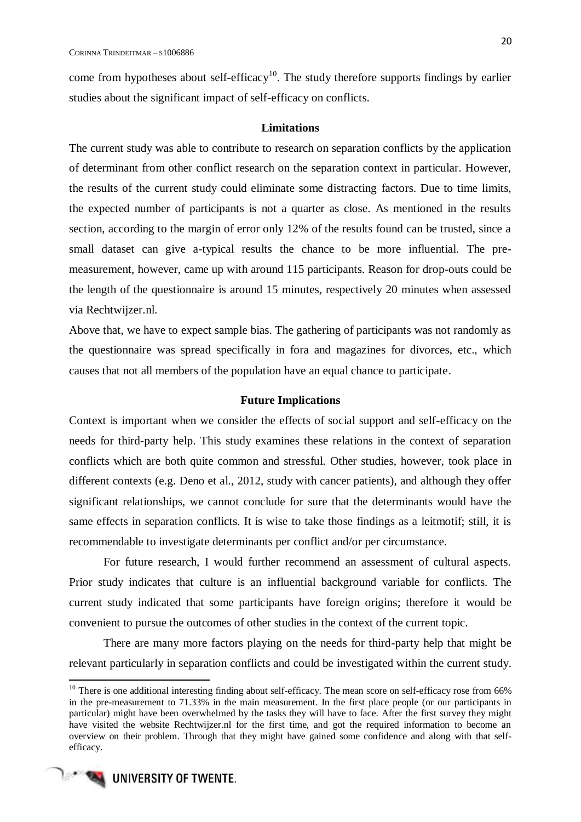come from hypotheses about self-efficacy<sup>10</sup>. The study therefore supports findings by earlier studies about the significant impact of self-efficacy on conflicts.

## **Limitations**

<span id="page-25-0"></span>The current study was able to contribute to research on separation conflicts by the application of determinant from other conflict research on the separation context in particular. However, the results of the current study could eliminate some distracting factors. Due to time limits, the expected number of participants is not a quarter as close. As mentioned in the results section, according to the margin of error only 12% of the results found can be trusted, since a small dataset can give a-typical results the chance to be more influential. The premeasurement, however, came up with around 115 participants. Reason for drop-outs could be the length of the questionnaire is around 15 minutes, respectively 20 minutes when assessed via Rechtwijzer.nl.

Above that, we have to expect sample bias. The gathering of participants was not randomly as the questionnaire was spread specifically in fora and magazines for divorces, etc., which causes that not all members of the population have an equal chance to participate.

#### **Future Implications**

<span id="page-25-1"></span>Context is important when we consider the effects of social support and self-efficacy on the needs for third-party help. This study examines these relations in the context of separation conflicts which are both quite common and stressful. Other studies, however, took place in different contexts (e.g. Deno et al., 2012, study with cancer patients), and although they offer significant relationships, we cannot conclude for sure that the determinants would have the same effects in separation conflicts. It is wise to take those findings as a leitmotif; still, it is recommendable to investigate determinants per conflict and/or per circumstance.

For future research, I would further recommend an assessment of cultural aspects. Prior study indicates that culture is an influential background variable for conflicts. The current study indicated that some participants have foreign origins; therefore it would be convenient to pursue the outcomes of other studies in the context of the current topic.

There are many more factors playing on the needs for third-party help that might be relevant particularly in separation conflicts and could be investigated within the current study.

 $10$  There is one additional interesting finding about self-efficacy. The mean score on self-efficacy rose from 66% in the pre-measurement to 71.33% in the main measurement. In the first place people (or our participants in particular) might have been overwhelmed by the tasks they will have to face. After the first survey they might have visited the website Rechtwijzer.nl for the first time, and got the required information to become an overview on their problem. Through that they might have gained some confidence and along with that selfefficacy.



1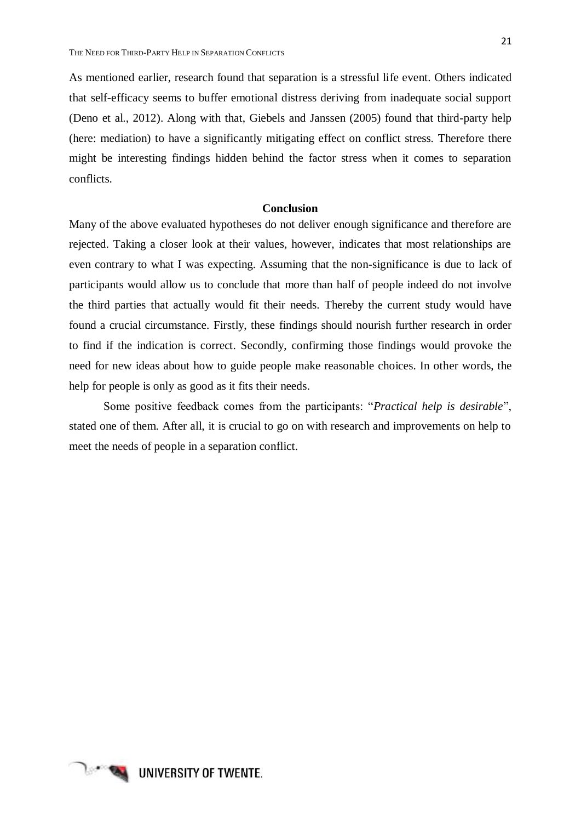As mentioned earlier, research found that separation is a stressful life event. Others indicated that self-efficacy seems to buffer emotional distress deriving from inadequate social support (Deno et al., 2012). Along with that, Giebels and Janssen (2005) found that third-party help (here: mediation) to have a significantly mitigating effect on conflict stress. Therefore there might be interesting findings hidden behind the factor stress when it comes to separation conflicts.

## **Conclusion**

<span id="page-26-0"></span>Many of the above evaluated hypotheses do not deliver enough significance and therefore are rejected. Taking a closer look at their values, however, indicates that most relationships are even contrary to what I was expecting. Assuming that the non-significance is due to lack of participants would allow us to conclude that more than half of people indeed do not involve the third parties that actually would fit their needs. Thereby the current study would have found a crucial circumstance. Firstly, these findings should nourish further research in order to find if the indication is correct. Secondly, confirming those findings would provoke the need for new ideas about how to guide people make reasonable choices. In other words, the help for people is only as good as it fits their needs.

Some positive feedback comes from the participants: "*Practical help is desirable*", stated one of them. After all, it is crucial to go on with research and improvements on help to meet the needs of people in a separation conflict.

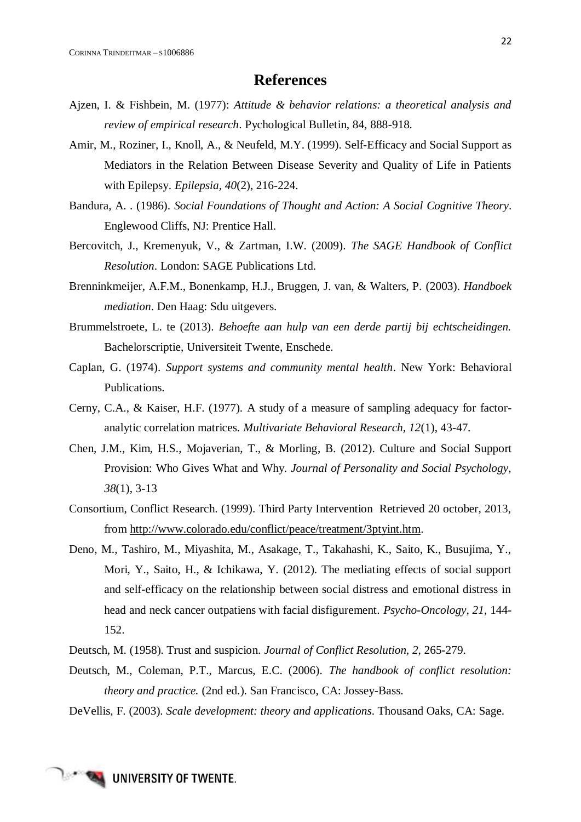## **References**

- <span id="page-27-0"></span>Ajzen, I. & Fishbein, M. (1977): *Attitude & behavior relations: a theoretical analysis and review of empirical research*. Pychological Bulletin, 84, 888-918.
- Amir, M., Roziner, I., Knoll, A., & Neufeld, M.Y. (1999). Self-Efficacy and Social Support as Mediators in the Relation Between Disease Severity and Quality of Life in Patients with Epilepsy. *Epilepsia, 40*(2), 216-224.
- Bandura, A. . (1986). *Social Foundations of Thought and Action: A Social Cognitive Theory*. Englewood Cliffs, NJ: Prentice Hall.
- Bercovitch, J., Kremenyuk, V., & Zartman, I.W. (2009). *The SAGE Handbook of Conflict Resolution*. London: SAGE Publications Ltd.
- Brenninkmeijer, A.F.M., Bonenkamp, H.J., Bruggen, J. van, & Walters, P. (2003). *Handboek mediation*. Den Haag: Sdu uitgevers.
- Brummelstroete, L. te (2013). *Behoefte aan hulp van een derde partij bij echtscheidingen.* Bachelorscriptie, Universiteit Twente, Enschede.
- Caplan, G. (1974). *Support systems and community mental health*. New York: Behavioral Publications.
- Cerny, C.A., & Kaiser, H.F. (1977). A study of a measure of sampling adequacy for factoranalytic correlation matrices. *Multivariate Behavioral Research, 12*(1), 43-47.
- Chen, J.M., Kim, H.S., Mojaverian, T., & Morling, B. (2012). Culture and Social Support Provision: Who Gives What and Why. *Journal of Personality and Social Psychology, 38*(1), 3-13
- Consortium, Conflict Research. (1999). Third Party Intervention Retrieved 20 october, 2013, from [http://www.colorado.edu/conflict/peace/treatment/3ptyint.htm.](http://www.colorado.edu/conflict/peace/treatment/3ptyint.htm)
- Deno, M., Tashiro, M., Miyashita, M., Asakage, T., Takahashi, K., Saito, K., Busujima, Y., Mori, Y., Saito, H., & Ichikawa, Y. (2012). The mediating effects of social support and self-efficacy on the relationship between social distress and emotional distress in head and neck cancer outpatiens with facial disfigurement. *Psycho-Oncology, 21*, 144- 152.
- Deutsch, M. (1958). Trust and suspicion. *Journal of Conflict Resolution, 2*, 265-279.
- Deutsch, M., Coleman, P.T., Marcus, E.C. (2006). *The handbook of conflict resolution: theory and practice.* (2nd ed.). San Francisco, CA: Jossey-Bass.
- DeVellis, F. (2003). *Scale development: theory and applications*. Thousand Oaks, CA: Sage.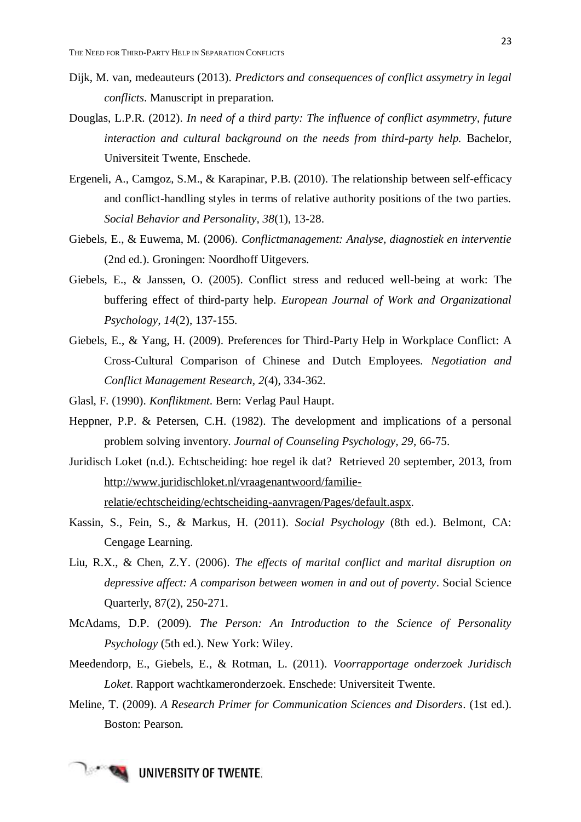- Dijk, M. van, medeauteurs (2013). *Predictors and consequences of conflict assymetry in legal conflicts*. Manuscript in preparation.
- Douglas, L.P.R. (2012). *In need of a third party: The influence of conflict asymmetry, future interaction and cultural background on the needs from third-party help.* Bachelor, Universiteit Twente, Enschede.
- Ergeneli, A., Camgoz, S.M., & Karapinar, P.B. (2010). The relationship between self-efficacy and conflict-handling styles in terms of relative authority positions of the two parties. *Social Behavior and Personality, 38*(1), 13-28.
- Giebels, E., & Euwema, M. (2006). *Conflictmanagement: Analyse, diagnostiek en interventie* (2nd ed.). Groningen: Noordhoff Uitgevers.
- Giebels, E., & Janssen, O. (2005). Conflict stress and reduced well-being at work: The buffering effect of third-party help. *European Journal of Work and Organizational Psychology, 14*(2), 137-155.
- Giebels, E., & Yang, H. (2009). Preferences for Third-Party Help in Workplace Conflict: A Cross-Cultural Comparison of Chinese and Dutch Employees. *Negotiation and Conflict Management Research, 2*(4), 334-362.
- Glasl, F. (1990). *Konfliktment*. Bern: Verlag Paul Haupt.
- Heppner, P.P. & Petersen, C.H. (1982). The development and implications of a personal problem solving inventory. *Journal of Counseling Psychology, 29*, 66-75.
- Juridisch Loket (n.d.). Echtscheiding: hoe regel ik dat? Retrieved 20 september, 2013, from [http://www.juridischloket.nl/vraagenantwoord/familie](http://www.juridischloket.nl/vraagenantwoord/familie-relatie/echtscheiding/echtscheiding-aanvragen/Pages/default.aspx)[relatie/echtscheiding/echtscheiding-aanvragen/Pages/default.aspx.](http://www.juridischloket.nl/vraagenantwoord/familie-relatie/echtscheiding/echtscheiding-aanvragen/Pages/default.aspx)
- Kassin, S., Fein, S., & Markus, H. (2011). *Social Psychology* (8th ed.). Belmont, CA: Cengage Learning.
- Liu, R.X., & Chen, Z.Y. (2006). *The effects of marital conflict and marital disruption on depressive affect: A comparison between women in and out of poverty*. Social Science Quarterly, 87(2), 250-271.
- McAdams, D.P. (2009). *The Person: An Introduction to the Science of Personality Psychology* (5th ed.). New York: Wiley.
- Meedendorp, E., Giebels, E., & Rotman, L. (2011). *Voorrapportage onderzoek Juridisch Loket*. Rapport wachtkameronderzoek. Enschede: Universiteit Twente.
- Meline, T. (2009). *A Research Primer for Communication Sciences and Disorders*. (1st ed.). Boston: Pearson.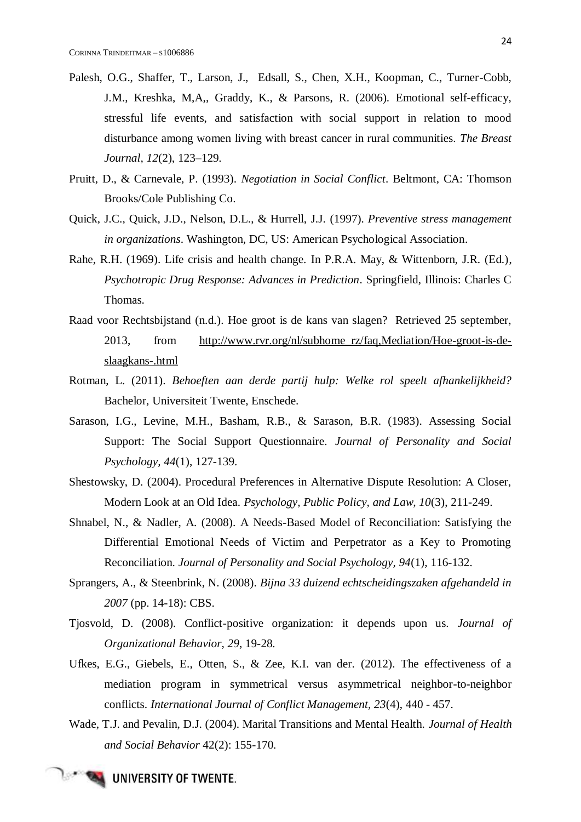- Palesh, O.G., Shaffer, T., Larson, J., Edsall, S., Chen, X.H., Koopman, C., Turner-Cobb, J.M., Kreshka, M,A,, Graddy, K., & Parsons, R. (2006). Emotional self-efficacy, stressful life events, and satisfaction with social support in relation to mood disturbance among women living with breast cancer in rural communities. *The Breast Journal, 12*(2), 123–129.
- Pruitt, D., & Carnevale, P. (1993). *Negotiation in Social Conflict*. Beltmont, CA: Thomson Brooks/Cole Publishing Co.
- Quick, J.C., Quick, J.D., Nelson, D.L., & Hurrell, J.J. (1997). *Preventive stress management in organizations*. Washington, DC, US: American Psychological Association.
- Rahe, R.H. (1969). Life crisis and health change. In P.R.A. May, & Wittenborn, J.R. (Ed.), *Psychotropic Drug Response: Advances in Prediction*. Springfield, Illinois: Charles C Thomas.
- Raad voor Rechtsbijstand (n.d.). Hoe groot is de kans van slagen? Retrieved 25 september, 2013, from [http://www.rvr.org/nl/subhome\\_rz/faq,Mediation/Hoe-groot-is-de](http://www.rvr.org/nl/subhome_rz/faq,Mediation/Hoe-groot-is-de-slaagkans-.html)[slaagkans-.html](http://www.rvr.org/nl/subhome_rz/faq,Mediation/Hoe-groot-is-de-slaagkans-.html)
- Rotman, L. (2011). *Behoeften aan derde partij hulp: Welke rol speelt afhankelijkheid?* Bachelor, Universiteit Twente, Enschede.
- Sarason, I.G., Levine, M.H., Basham, R.B., & Sarason, B.R. (1983). Assessing Social Support: The Social Support Questionnaire. *Journal of Personality and Social Psychology, 44*(1), 127-139.
- Shestowsky, D. (2004). Procedural Preferences in Alternative Dispute Resolution: A Closer, Modern Look at an Old Idea. *Psychology, Public Policy, and Law, 10*(3), 211-249.
- Shnabel, N., & Nadler, A. (2008). A Needs-Based Model of Reconciliation: Satisfying the Differential Emotional Needs of Victim and Perpetrator as a Key to Promoting Reconciliation. *Journal of Personality and Social Psychology, 94*(1), 116-132.
- Sprangers, A., & Steenbrink, N. (2008). *Bijna 33 duizend echtscheidingszaken afgehandeld in 2007* (pp. 14-18): CBS.
- Tjosvold, D. (2008). Conflict-positive organization: it depends upon us. *Journal of Organizational Behavior, 29*, 19-28.
- Ufkes, E.G., Giebels, E., Otten, S., & Zee, K.I. van der. (2012). The effectiveness of a mediation program in symmetrical versus asymmetrical neighbor-to-neighbor conflicts. *International Journal of Conflict Management, 23*(4), 440 - 457.
- Wade, T.J. and Pevalin, D.J. (2004). Marital Transitions and Mental Health. *Journal of Health and Social Behavior* 42(2): 155-170.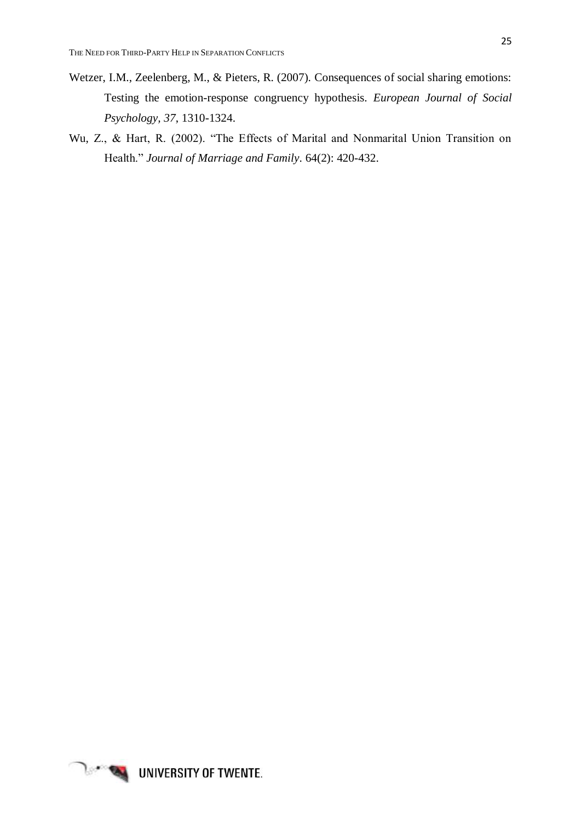- Wetzer, I.M., Zeelenberg, M., & Pieters, R. (2007). Consequences of social sharing emotions: Testing the emotion-response congruency hypothesis. *European Journal of Social Psychology, 37*, 1310-1324.
- Wu, Z., & Hart, R. (2002). "The Effects of Marital and Nonmarital Union Transition on Health." *Journal of Marriage and Family*. 64(2): 420-432.

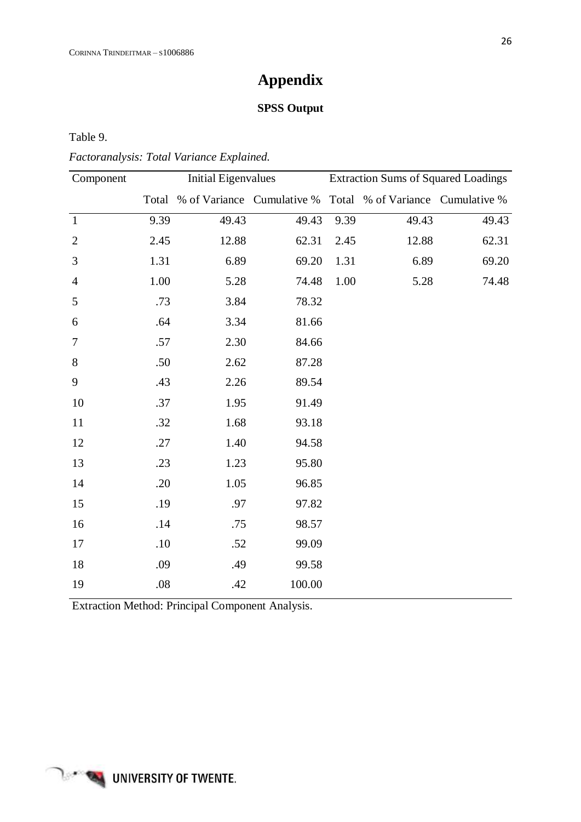## **Appendix**

## **SPSS Output**

<span id="page-31-1"></span><span id="page-31-0"></span>Table 9.

*Factoranalysis: Total Variance Explained.* 

| <b>Initial Eigenvalues</b> |       |        |                            |       |                                                                                |
|----------------------------|-------|--------|----------------------------|-------|--------------------------------------------------------------------------------|
| Total                      |       |        |                            |       |                                                                                |
| 9.39                       | 49.43 | 49.43  | 9.39                       | 49.43 | 49.43                                                                          |
| 2.45                       | 12.88 | 62.31  | 2.45                       | 12.88 | 62.31                                                                          |
| 1.31                       | 6.89  | 69.20  | 1.31                       | 6.89  | 69.20                                                                          |
| $1.00\,$                   | 5.28  | 74.48  | $1.00\,$                   | 5.28  | 74.48                                                                          |
| .73                        | 3.84  | 78.32  |                            |       |                                                                                |
| .64                        | 3.34  | 81.66  |                            |       |                                                                                |
| .57                        | 2.30  | 84.66  |                            |       |                                                                                |
| .50                        | 2.62  | 87.28  |                            |       |                                                                                |
| .43                        | 2.26  | 89.54  |                            |       |                                                                                |
| .37                        | 1.95  | 91.49  |                            |       |                                                                                |
| .32                        | 1.68  | 93.18  |                            |       |                                                                                |
| .27                        | 1.40  | 94.58  |                            |       |                                                                                |
| .23                        | 1.23  | 95.80  |                            |       |                                                                                |
| .20                        | 1.05  | 96.85  |                            |       |                                                                                |
| .19                        | .97   | 97.82  |                            |       |                                                                                |
| .14                        | .75   | 98.57  |                            |       |                                                                                |
| .10                        | .52   | 99.09  |                            |       |                                                                                |
| .09                        | .49   | 99.58  |                            |       |                                                                                |
| .08                        | .42   | 100.00 |                            |       |                                                                                |
|                            |       |        | % of Variance Cumulative % |       | <b>Extraction Sums of Squared Loadings</b><br>Total % of Variance Cumulative % |

Extraction Method: Principal Component Analysis.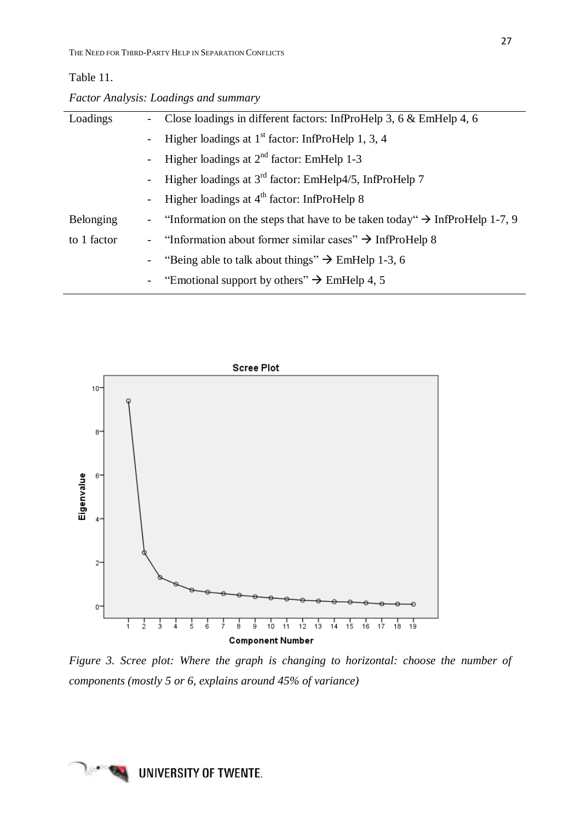## Table 11.

|  | Factor Analysis: Loadings and summary |  |
|--|---------------------------------------|--|
|  |                                       |  |

| Loadings    | $\blacksquare$           | Close loadings in different factors: InfProHelp 3, 6 $\&$ EmHelp 4, 6                    |
|-------------|--------------------------|------------------------------------------------------------------------------------------|
|             | $\overline{\phantom{0}}$ | Higher loadings at $1st$ factor: InfProHelp 1, 3, 4                                      |
|             | $\blacksquare$           | Higher loadings at $2^{nd}$ factor: EmHelp 1-3                                           |
|             | $\overline{\phantom{0}}$ | Higher loadings at $3^{rd}$ factor: EmHelp4/5, InfProHelp 7                              |
|             | $\overline{\phantom{0}}$ | Higher loadings at $4th$ factor: InfProHelp 8                                            |
| Belonging   |                          | - "Information on the steps that have to be taken today" $\rightarrow$ InfProHelp 1-7, 9 |
| to 1 factor |                          | - "Information about former similar cases" $\rightarrow$ InfProHelp 8                    |
|             |                          | - "Being able to talk about things" $\rightarrow$ EmHelp 1-3, 6                          |
|             | $\overline{\phantom{0}}$ | "Emotional support by others" $\rightarrow$ EmHelp 4, 5                                  |



*Figure 3. Scree plot: Where the graph is changing to horizontal: choose the number of components (mostly 5 or 6, explains around 45% of variance)*

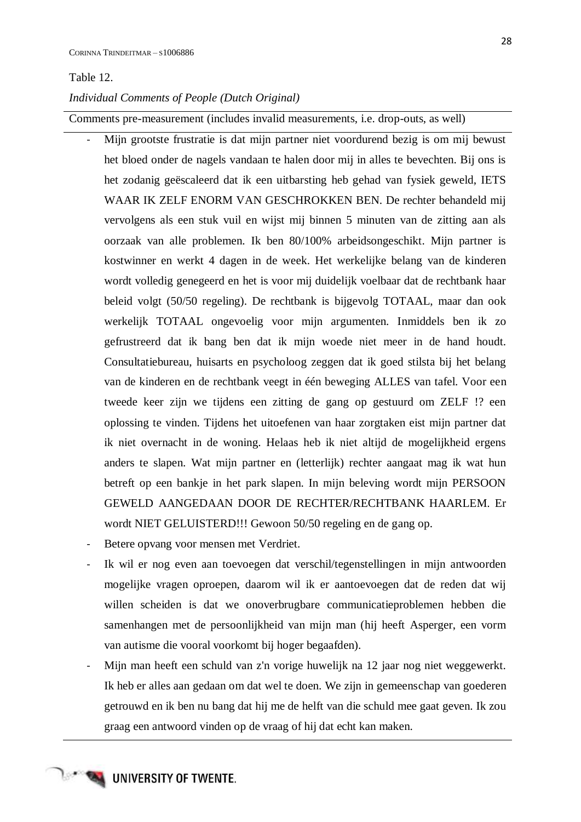#### Table 12.

#### *Individual Comments of People (Dutch Original)*

Comments pre-measurement (includes invalid measurements, i.e. drop-outs, as well)

- Mijn grootste frustratie is dat mijn partner niet voordurend bezig is om mij bewust het bloed onder de nagels vandaan te halen door mij in alles te bevechten. Bij ons is het zodanig geëscaleerd dat ik een uitbarsting heb gehad van fysiek geweld, IETS WAAR IK ZELF ENORM VAN GESCHROKKEN BEN. De rechter behandeld mij vervolgens als een stuk vuil en wijst mij binnen 5 minuten van de zitting aan als oorzaak van alle problemen. Ik ben 80/100% arbeidsongeschikt. Mijn partner is kostwinner en werkt 4 dagen in de week. Het werkelijke belang van de kinderen wordt volledig genegeerd en het is voor mij duidelijk voelbaar dat de rechtbank haar beleid volgt (50/50 regeling). De rechtbank is bijgevolg TOTAAL, maar dan ook werkelijk TOTAAL ongevoelig voor mijn argumenten. Inmiddels ben ik zo gefrustreerd dat ik bang ben dat ik mijn woede niet meer in de hand houdt. Consultatiebureau, huisarts en psycholoog zeggen dat ik goed stilsta bij het belang van de kinderen en de rechtbank veegt in één beweging ALLES van tafel. Voor een tweede keer zijn we tijdens een zitting de gang op gestuurd om ZELF !? een oplossing te vinden. Tijdens het uitoefenen van haar zorgtaken eist mijn partner dat ik niet overnacht in de woning. Helaas heb ik niet altijd de mogelijkheid ergens anders te slapen. Wat mijn partner en (letterlijk) rechter aangaat mag ik wat hun betreft op een bankje in het park slapen. In mijn beleving wordt mijn PERSOON GEWELD AANGEDAAN DOOR DE RECHTER/RECHTBANK HAARLEM. Er wordt NIET GELUISTERD!!! Gewoon 50/50 regeling en de gang op.
- Betere opvang voor mensen met Verdriet.
- Ik wil er nog even aan toevoegen dat verschil/tegenstellingen in mijn antwoorden mogelijke vragen oproepen, daarom wil ik er aantoevoegen dat de reden dat wij willen scheiden is dat we onoverbrugbare communicatieproblemen hebben die samenhangen met de persoonlijkheid van mijn man (hij heeft Asperger, een vorm van autisme die vooral voorkomt bij hoger begaafden).
- Mijn man heeft een schuld van z'n vorige huwelijk na 12 jaar nog niet weggewerkt. Ik heb er alles aan gedaan om dat wel te doen. We zijn in gemeenschap van goederen getrouwd en ik ben nu bang dat hij me de helft van die schuld mee gaat geven. Ik zou graag een antwoord vinden op de vraag of hij dat echt kan maken.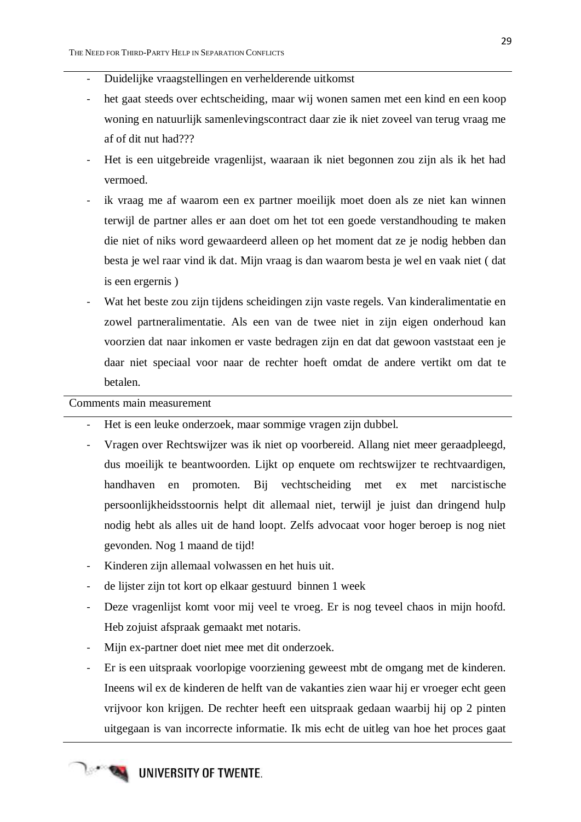- Duidelijke vraagstellingen en verhelderende uitkomst
- het gaat steeds over echtscheiding, maar wij wonen samen met een kind en een koop woning en natuurlijk samenlevingscontract daar zie ik niet zoveel van terug vraag me af of dit nut had???
- Het is een uitgebreide vragenlijst, waaraan ik niet begonnen zou zijn als ik het had vermoed.
- ik vraag me af waarom een ex partner moeilijk moet doen als ze niet kan winnen terwijl de partner alles er aan doet om het tot een goede verstandhouding te maken die niet of niks word gewaardeerd alleen op het moment dat ze je nodig hebben dan besta je wel raar vind ik dat. Mijn vraag is dan waarom besta je wel en vaak niet ( dat is een ergernis )
- Wat het beste zou zijn tijdens scheidingen zijn vaste regels. Van kinderalimentatie en zowel partneralimentatie. Als een van de twee niet in zijn eigen onderhoud kan voorzien dat naar inkomen er vaste bedragen zijn en dat dat gewoon vaststaat een je daar niet speciaal voor naar de rechter hoeft omdat de andere vertikt om dat te betalen.

Comments main measurement

- Het is een leuke onderzoek, maar sommige vragen zijn dubbel.
- Vragen over Rechtswijzer was ik niet op voorbereid. Allang niet meer geraadpleegd, dus moeilijk te beantwoorden. Lijkt op enquete om rechtswijzer te rechtvaardigen, handhaven en promoten. Bij vechtscheiding met ex met narcistische persoonlijkheidsstoornis helpt dit allemaal niet, terwijl je juist dan dringend hulp nodig hebt als alles uit de hand loopt. Zelfs advocaat voor hoger beroep is nog niet gevonden. Nog 1 maand de tijd!
- Kinderen zijn allemaal volwassen en het huis uit.
- de lijster zijn tot kort op elkaar gestuurd binnen 1 week
- Deze vragenlijst komt voor mij veel te vroeg. Er is nog teveel chaos in mijn hoofd. Heb zojuist afspraak gemaakt met notaris.
- Mijn ex-partner doet niet mee met dit onderzoek.
- Er is een uitspraak voorlopige voorziening geweest mbt de omgang met de kinderen. Ineens wil ex de kinderen de helft van de vakanties zien waar hij er vroeger echt geen vrijvoor kon krijgen. De rechter heeft een uitspraak gedaan waarbij hij op 2 pinten uitgegaan is van incorrecte informatie. Ik mis echt de uitleg van hoe het proces gaat